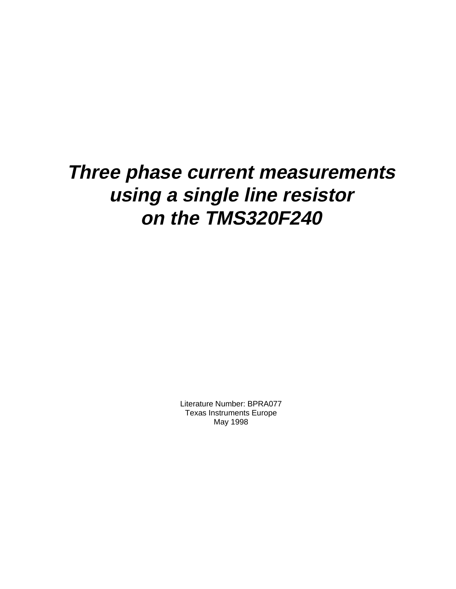# **Three phase current measurements using a single line resistor on the TMS320F240**

Literature Number: BPRA077 Texas Instruments Europe May 1998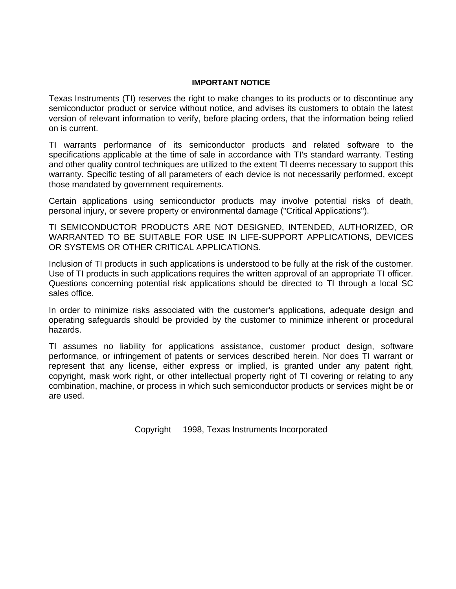#### **IMPORTANT NOTICE**

Texas Instruments (TI) reserves the right to make changes to its products or to discontinue any semiconductor product or service without notice, and advises its customers to obtain the latest version of relevant information to verify, before placing orders, that the information being relied on is current.

TI warrants performance of its semiconductor products and related software to the specifications applicable at the time of sale in accordance with TI's standard warranty. Testing and other quality control techniques are utilized to the extent TI deems necessary to support this warranty. Specific testing of all parameters of each device is not necessarily performed, except those mandated by government requirements.

Certain applications using semiconductor products may involve potential risks of death, personal injury, or severe property or environmental damage ("Critical Applications").

TI SEMICONDUCTOR PRODUCTS ARE NOT DESIGNED, INTENDED, AUTHORIZED, OR WARRANTED TO BE SUITABLE FOR USE IN LIFE-SUPPORT APPLICATIONS, DEVICES OR SYSTEMS OR OTHER CRITICAL APPLICATIONS.

Inclusion of TI products in such applications is understood to be fully at the risk of the customer. Use of TI products in such applications requires the written approval of an appropriate TI officer. Questions concerning potential risk applications should be directed to TI through a local SC sales office.

In order to minimize risks associated with the customer's applications, adequate design and operating safeguards should be provided by the customer to minimize inherent or procedural hazards.

TI assumes no liability for applications assistance, customer product design, software performance, or infringement of patents or services described herein. Nor does TI warrant or represent that any license, either express or implied, is granted under any patent right, copyright, mask work right, or other intellectual property right of TI covering or relating to any combination, machine, or process in which such semiconductor products or services might be or are used.

Copyright 1998, Texas Instruments Incorporated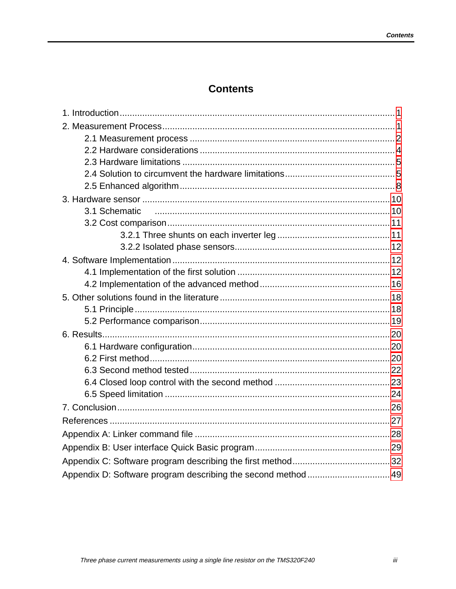# **Contents**

| 3.1 Schematic                                                 |  |
|---------------------------------------------------------------|--|
|                                                               |  |
|                                                               |  |
|                                                               |  |
|                                                               |  |
|                                                               |  |
|                                                               |  |
|                                                               |  |
|                                                               |  |
|                                                               |  |
|                                                               |  |
|                                                               |  |
|                                                               |  |
|                                                               |  |
|                                                               |  |
|                                                               |  |
|                                                               |  |
|                                                               |  |
|                                                               |  |
|                                                               |  |
|                                                               |  |
| Appendix D: Software program describing the second method  49 |  |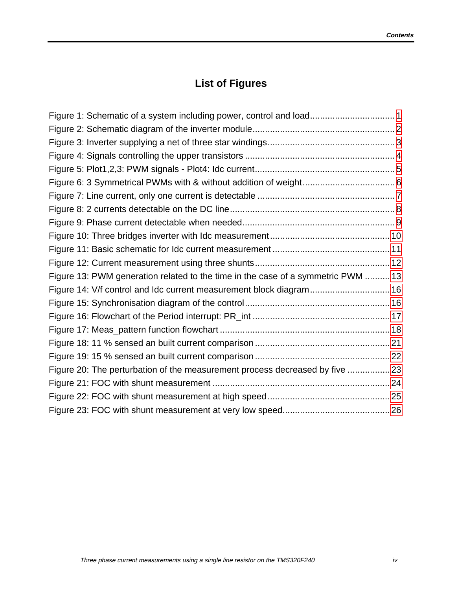# **List of Figures**

| Figure 1: Schematic of a system including power, control and load 1              |  |
|----------------------------------------------------------------------------------|--|
|                                                                                  |  |
|                                                                                  |  |
|                                                                                  |  |
|                                                                                  |  |
|                                                                                  |  |
|                                                                                  |  |
|                                                                                  |  |
|                                                                                  |  |
|                                                                                  |  |
|                                                                                  |  |
|                                                                                  |  |
| Figure 13: PWM generation related to the time in the case of a symmetric PWM  13 |  |
| Figure 14: V/f control and Idc current measurement block diagram 16              |  |
|                                                                                  |  |
|                                                                                  |  |
|                                                                                  |  |
|                                                                                  |  |
|                                                                                  |  |
| Figure 20: The perturbation of the measurement process decreased by five  23     |  |
|                                                                                  |  |
|                                                                                  |  |
|                                                                                  |  |
|                                                                                  |  |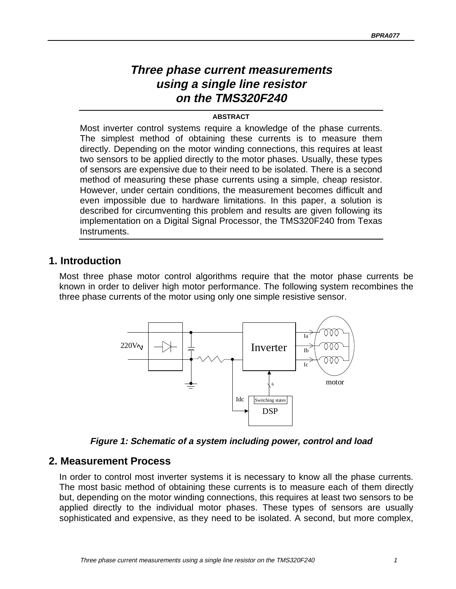# **Three phase current measurements using a single line resistor on the TMS320F240**

#### **ABSTRACT**

<span id="page-4-0"></span>Most inverter control systems require a knowledge of the phase currents. The simplest method of obtaining these currents is to measure them directly. Depending on the motor winding connections, this requires at least two sensors to be applied directly to the motor phases. Usually, these types of sensors are expensive due to their need to be isolated. There is a second method of measuring these phase currents using a simple, cheap resistor. However, under certain conditions, the measurement becomes difficult and even impossible due to hardware limitations. In this paper, a solution is described for circumventing this problem and results are given following its implementation on a Digital Signal Processor, the TMS320F240 from Texas Instruments.

# **1. Introduction**

Most three phase motor control algorithms require that the motor phase currents be known in order to deliver high motor performance. The following system recombines the three phase currents of the motor using only one simple resistive sensor.



**Figure 1: Schematic of a system including power, control and load**

# **2. Measurement Process**

In order to control most inverter systems it is necessary to know all the phase currents. The most basic method of obtaining these currents is to measure each of them directly but, depending on the motor winding connections, this requires at least two sensors to be applied directly to the individual motor phases. These types of sensors are usually sophisticated and expensive, as they need to be isolated. A second, but more complex,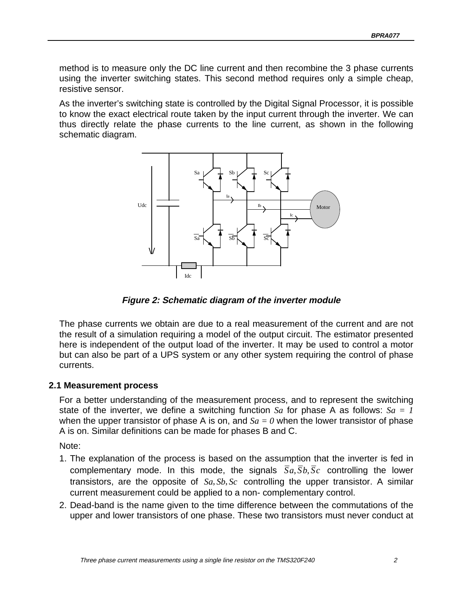<span id="page-5-0"></span>method is to measure only the DC line current and then recombine the 3 phase currents using the inverter switching states. This second method requires only a simple cheap, resistive sensor.

As the inverter's switching state is controlled by the Digital Signal Processor, it is possible to know the exact electrical route taken by the input current through the inverter. We can thus directly relate the phase currents to the line current, as shown in the following schematic diagram.



**Figure 2: Schematic diagram of the inverter module**

The phase currents we obtain are due to a real measurement of the current and are not the result of a simulation requiring a model of the output circuit. The estimator presented here is independent of the output load of the inverter. It may be used to control a motor but can also be part of a UPS system or any other system requiring the control of phase currents.

#### **2.1 Measurement process**

For a better understanding of the measurement process, and to represent the switching state of the inverter, we define a switching function *Sa* for phase A as follows: *Sa = 1* when the upper transistor of phase A is on, and  $Sa = 0$  when the lower transistor of phase A is on. Similar definitions can be made for phases B and C.

Note:

- 1. The explanation of the process is based on the assumption that the inverter is fed in complementary mode. In this mode, the signals  $\overline{S}a, \overline{S}b, \overline{S}c$  controlling the lower transistors, are the opposite of  $Sa, Sb, Sc$  controlling the upper transistor. A similar current measurement could be applied to a non- complementary control.
- 2. Dead-band is the name given to the time difference between the commutations of the upper and lower transistors of one phase. These two transistors must never conduct at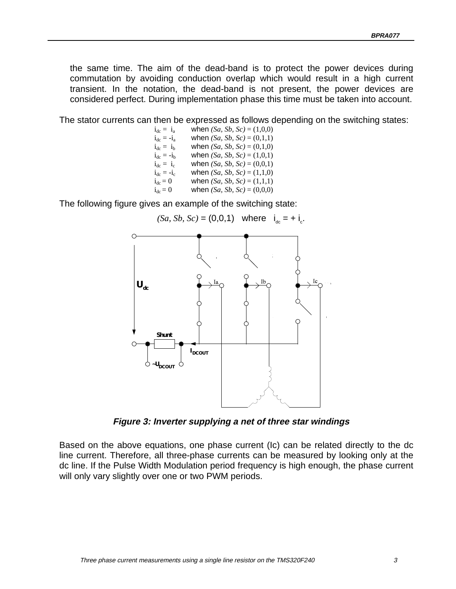<span id="page-6-0"></span>the same time. The aim of the dead-band is to protect the power devices during commutation by avoiding conduction overlap which would result in a high current transient. In the notation, the dead-band is not present, the power devices are considered perfect. During implementation phase this time must be taken into account.

The stator currents can then be expressed as follows depending on the switching states:

 $i_{dc} = i_{a}$  when *(Sa, Sb, Sc)* = (1,0,0)  $i_{dc} = -i_a$  when *(Sa, Sb, Sc)* = (0,1,1)  $i_{dc} = i_b$  when *(Sa, Sb, Sc)* = (0,1,0)<br>  $i_{dc} = -i_b$  when *(Sa, Sb, Sc)* = (1,0,1) when *(Sa, Sb, Sc)* =  $(1,0,1)$  $i_{dc} = i_c$  when *(Sa, Sb, Sc)* = (0,0,1)  $i_{dc} = -i_c$  when *(Sa, Sb, Sc)* = (1,1,0)  $i_{dc} = 0$  when *(Sa, Sb, Sc)* = (1,1,1)  $i_{dc} = 0$  when *(Sa, Sb, Sc)* = (0,0,0)

The following figure gives an example of the switching state:



**Figure 3: Inverter supplying a net of three star windings**

Based on the above equations, one phase current (Ic) can be related directly to the dc line current. Therefore, all three-phase currents can be measured by looking only at the dc line. If the Pulse Width Modulation period frequency is high enough, the phase current will only vary slightly over one or two PWM periods.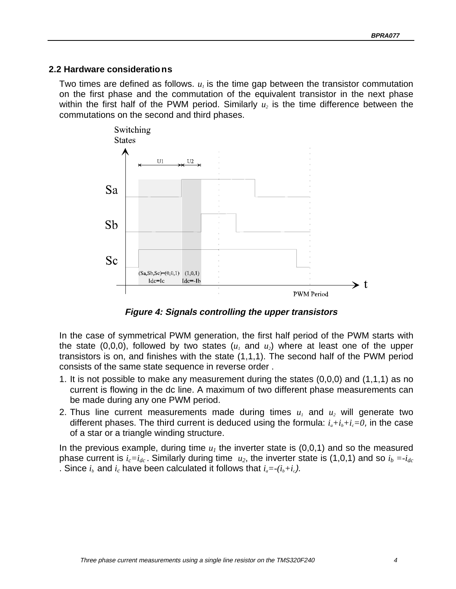#### <span id="page-7-0"></span>**2.2 Hardware considerations**

Two times are defined as follows.  $u_i$  is the time gap between the transistor commutation on the first phase and the commutation of the equivalent transistor in the next phase within the first half of the PWM period. Similarly  $u_2$  is the time difference between the commutations on the second and third phases.



**Figure 4: Signals controlling the upper transistors**

In the case of symmetrical PWM generation, the first half period of the PWM starts with the state  $(0,0,0)$ , followed by two states  $(u_1 \text{ and } u_2)$  where at least one of the upper transistors is on, and finishes with the state (1,1,1). The second half of the PWM period consists of the same state sequence in reverse order .

- 1. It is not possible to make any measurement during the states (0,0,0) and (1,1,1) as no current is flowing in the dc line. A maximum of two different phase measurements can be made during any one PWM period.
- 2. Thus line current measurements made during times  $u_1$  and  $u_2$  will generate two different phases. The third current is deduced using the formula:  $i_a+i_b+i_c=0$ , in the case of a star or a triangle winding structure.

In the previous example, during time  $u_1$  the inverter state is  $(0,0,1)$  and so the measured phase current is  $i_c=i_{dc}$ . Similarly during time  $u_2$ , the inverter state is (1,0,1) and so  $i_b = -i_{dc}$ . Since  $i_b$  and  $i_c$  have been calculated it follows that  $i_a = -(i_b + i_c)$ .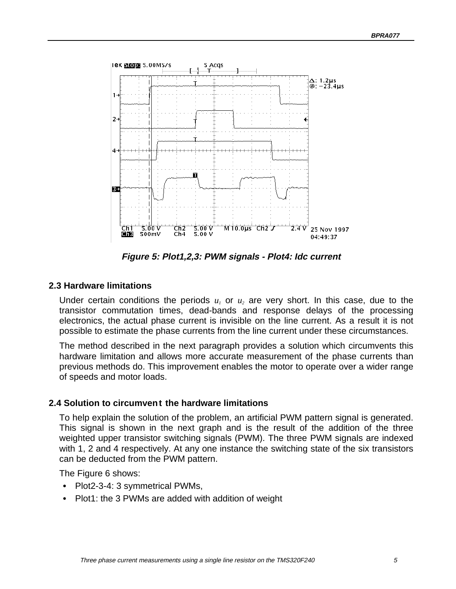<span id="page-8-0"></span>

**Figure 5: Plot1,2,3: PWM signals - Plot4: Idc current**

#### **2.3 Hardware limitations**

Under certain conditions the periods  $u_1$  or  $u_2$  are very short. In this case, due to the transistor commutation times, dead-bands and response delays of the processing electronics, the actual phase current is invisible on the line current. As a result it is not possible to estimate the phase currents from the line current under these circumstances.

The method described in the next paragraph provides a solution which circumvents this hardware limitation and allows more accurate measurement of the phase currents than previous methods do. This improvement enables the motor to operate over a wider range of speeds and motor loads.

#### **2.4 Solution to circumvent the hardware limitations**

To help explain the solution of the problem, an artificial PWM pattern signal is generated. This signal is shown in the next graph and is the result of the addition of the three weighted upper transistor switching signals (PWM). The three PWM signals are indexed with 1, 2 and 4 respectively. At any one instance the switching state of the six transistors can be deducted from the PWM pattern.

The Figure 6 shows:

- Plot2-3-4: 3 symmetrical PWMs,
- Plot1: the 3 PWMs are added with addition of weight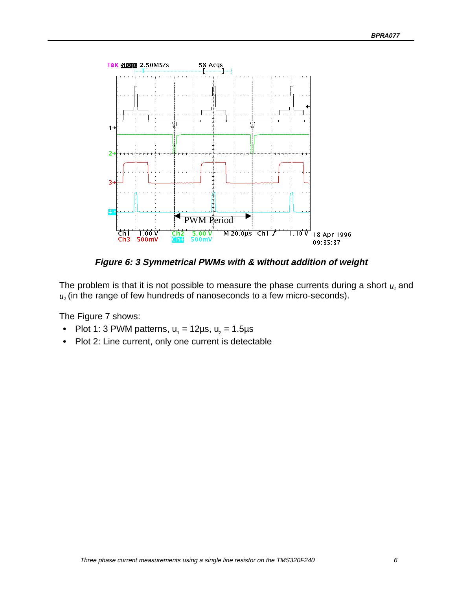<span id="page-9-0"></span>

**Figure 6: 3 Symmetrical PWMs with & without addition of weight**

The problem is that it is not possible to measure the phase currents during a short  $u_1$  and  $u_2$  (in the range of few hundreds of nanoseconds to a few micro-seconds).

The Figure 7 shows:

- Plot 1: 3 PWM patterns,  $u_1 = 12 \mu s$ ,  $u_2 = 1.5 \mu s$
- Plot 2: Line current, only one current is detectable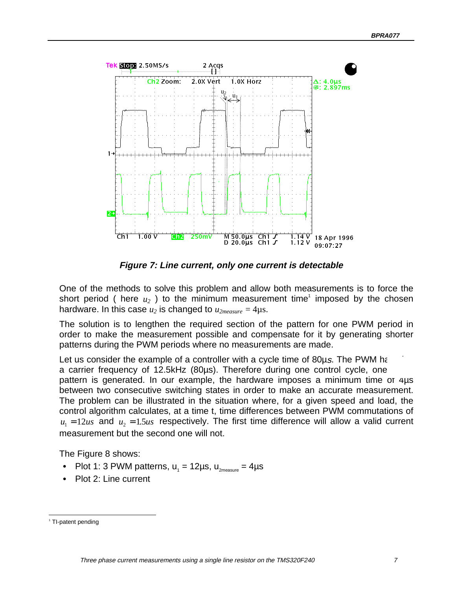<span id="page-10-0"></span>

**Figure 7: Line current, only one current is detectable**

One of the methods to solve this problem and allow both measurements is to force the short period ( here  $u_2$  ) to the minimum measurement time<sup>1</sup> imposed by the chosen hardware. In this case  $u_2$  is changed to  $u_{2measure} = 4\mu s$ .

The solution is to lengthen the required section of the pattern for one PWM period in order to make the measurement possible and compensate for it by generating shorter patterns during the PWM periods where no measurements are made.

Let us consider the example of a controller with a cycle time of  $80\mu s$ . The PWM has a carrier frequency of 12.5kHz (80µs). Therefore during one control cycle, one pattern is generated. In our example, the hardware imposes a minimum time of 4µs between two consecutive switching states in order to make an accurate measurement. The problem can be illustrated in the situation where, for a given speed and load, the control algorithm calculates, at a time t, time differences between PWM commutations of  $u_1 = 12us$  and  $u_2 = 1.5us$  respectively. The first time difference will allow a valid current measurement but the second one will not.

The Figure 8 shows:

- Plot 1: 3 PWM patterns,  $u_1 = 12 \mu s$ ,  $u_{2\text{measure}} = 4 \mu s$
- Plot 2: Line current

1

<sup>&</sup>lt;sup>1</sup> TI-patent pending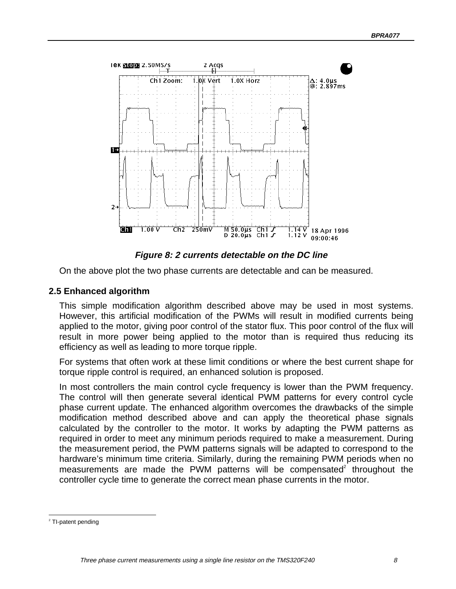<span id="page-11-0"></span>

**Figure 8: 2 currents detectable on the DC line**

On the above plot the two phase currents are detectable and can be measured.

#### **2.5 Enhanced algorithm**

This simple modification algorithm described above may be used in most systems. However, this artificial modification of the PWMs will result in modified currents being applied to the motor, giving poor control of the stator flux. This poor control of the flux will result in more power being applied to the motor than is required thus reducing its efficiency as well as leading to more torque ripple.

For systems that often work at these limit conditions or where the best current shape for torque ripple control is required, an enhanced solution is proposed.

In most controllers the main control cycle frequency is lower than the PWM frequency. The control will then generate several identical PWM patterns for every control cycle phase current update. The enhanced algorithm overcomes the drawbacks of the simple modification method described above and can apply the theoretical phase signals calculated by the controller to the motor. It works by adapting the PWM patterns as required in order to meet any minimum periods required to make a measurement. During the measurement period, the PWM patterns signals will be adapted to correspond to the hardware's minimum time criteria. Similarly, during the remaining PWM periods when no measurements are made the PWM patterns will be compensated $2$  throughout the controller cycle time to generate the correct mean phase currents in the motor.

-

<sup>&</sup>lt;sup>2</sup> TI-patent pending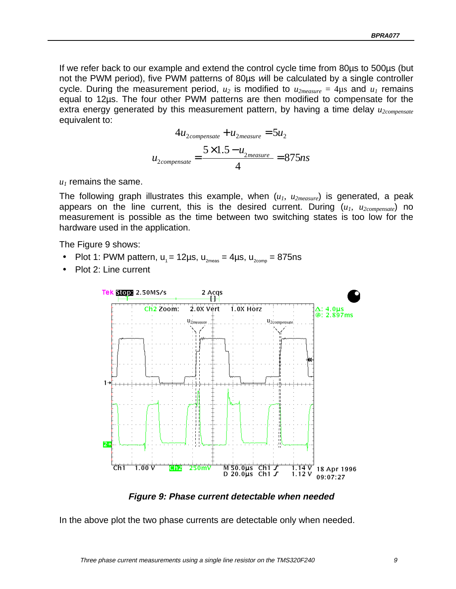<span id="page-12-0"></span>If we refer back to our example and extend the control cycle time from 80µs to 500µs (but not the PWM period), five PWM patterns of 80µs will be calculated by a single controller cycle. During the measurement period,  $u_2$  is modified to  $u_{2measure} = 4\mu s$  and  $u_1$  remains equal to 12µs. The four other PWM patterns are then modified to compensate for the extra energy generated by this measurement pattern, by having a time delay *u<sub>2compensate</sub>* equivalent to:

$$
4u_{2compensate} + u_{2measure} = 5u_2
$$

$$
u_{2compensate} = \frac{5 \times 1.5 - u_{2measure}}{4} = 875ns
$$

 $u_1$  remains the same.

The following graph illustrates this example, when (*u1*, *u2measure*) is generated, a peak appears on the line current, this is the desired current. During  $(u_1, u_{2 \text{compensate}})$  no measurement is possible as the time between two switching states is too low for the hardware used in the application.

The Figure 9 shows:

- Plot 1: PWM pattern,  $u_1 = 12 \mu s$ ,  $u_{2\mu eas} = 4 \mu s$ ,  $u_{2\mu eas} = 875 \mu s$
- Plot 2: Line current



**Figure 9: Phase current detectable when needed**

In the above plot the two phase currents are detectable only when needed.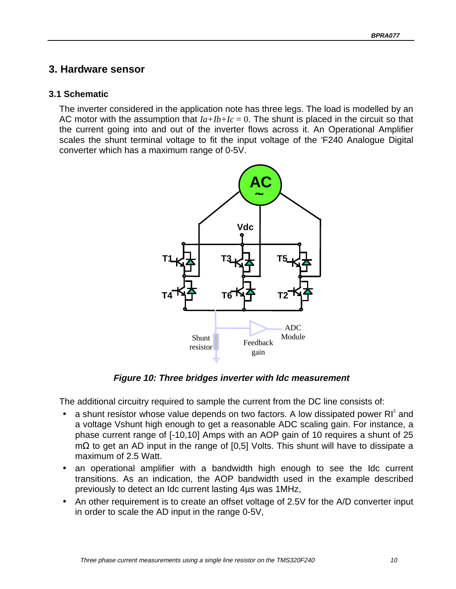# <span id="page-13-0"></span>**3. Hardware sensor**

#### **3.1 Schematic**

The inverter considered in the application note has three legs. The load is modelled by an AC motor with the assumption that  $Ia+Ib+Ic = 0$ . The shunt is placed in the circuit so that the current going into and out of the inverter flows across it. An Operational Amplifier scales the shunt terminal voltage to fit the input voltage of the 'F240 Analogue Digital converter which has a maximum range of 0-5V.



**Figure 10: Three bridges inverter with Idc measurement**

The additional circuitry required to sample the current from the DC line consists of:

- a shunt resistor whose value depends on two factors. A low dissipated power  $\mathsf{RI}^2$  and a voltage Vshunt high enough to get a reasonable ADC scaling gain. For instance, a phase current range of [-10,10] Amps with an AOP gain of 10 requires a shunt of 25 mΩ to get an AD input in the range of [0,5] Volts. This shunt will have to dissipate a maximum of 2.5 Watt.
- an operational amplifier with a bandwidth high enough to see the Idc current transitions. As an indication, the AOP bandwidth used in the example described previously to detect an Idc current lasting 4µs was 1MHz,
- An other requirement is to create an offset voltage of 2.5V for the A/D converter input in order to scale the AD input in the range 0-5V,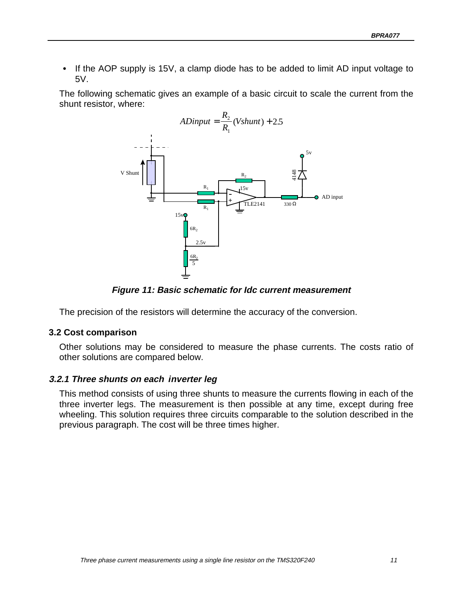<span id="page-14-0"></span>If the AOP supply is 15V, a clamp diode has to be added to limit AD input voltage to 5V.

The following schematic gives an example of a basic circuit to scale the current from the shunt resistor, where:



**Figure 11: Basic schematic for Idc current measurement**

The precision of the resistors will determine the accuracy of the conversion.

#### **3.2 Cost comparison**

Other solutions may be considered to measure the phase currents. The costs ratio of other solutions are compared below.

#### **3.2.1 Three shunts on each inverter leg**

This method consists of using three shunts to measure the currents flowing in each of the three inverter legs. The measurement is then possible at any time, except during free wheeling. This solution requires three circuits comparable to the solution described in the previous paragraph. The cost will be three times higher.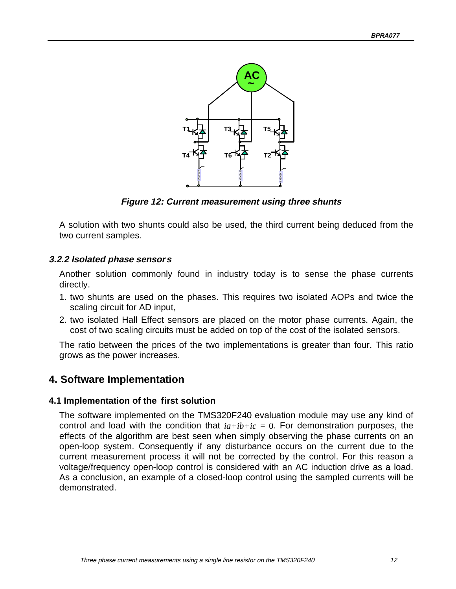<span id="page-15-0"></span>

**Figure 12: Current measurement using three shunts**

A solution with two shunts could also be used, the third current being deduced from the two current samples.

#### **3.2.2 Isolated phase sensors**

Another solution commonly found in industry today is to sense the phase currents directly.

- 1. two shunts are used on the phases. This requires two isolated AOPs and twice the scaling circuit for AD input,
- 2. two isolated Hall Effect sensors are placed on the motor phase currents. Again, the cost of two scaling circuits must be added on top of the cost of the isolated sensors.

The ratio between the prices of the two implementations is greater than four. This ratio grows as the power increases.

# **4. Software Implementation**

#### **4.1 Implementation of the first solution**

The software implemented on the TMS320F240 evaluation module may use any kind of control and load with the condition that  $ia+ib+ic = 0$ . For demonstration purposes, the effects of the algorithm are best seen when simply observing the phase currents on an open-loop system. Consequently if any disturbance occurs on the current due to the current measurement process it will not be corrected by the control. For this reason a voltage/frequency open-loop control is considered with an AC induction drive as a load. As a conclusion, an example of a closed-loop control using the sampled currents will be demonstrated.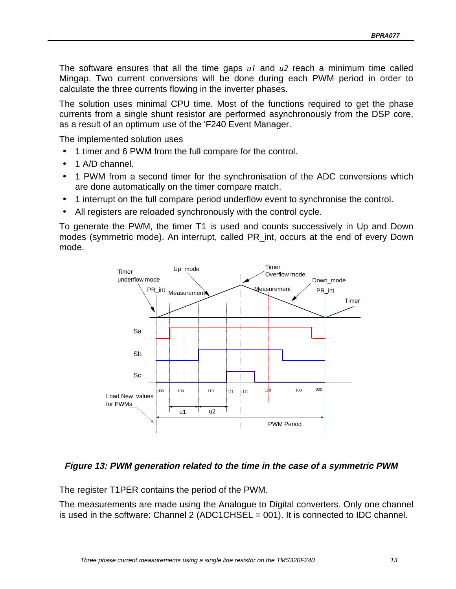<span id="page-16-0"></span>The software ensures that all the time gaps *u1* and *u2* reach a minimum time called Mingap. Two current conversions will be done during each PWM period in order to calculate the three currents flowing in the inverter phases.

The solution uses minimal CPU time. Most of the functions required to get the phase currents from a single shunt resistor are performed asynchronously from the DSP core, as a result of an optimum use of the 'F240 Event Manager.

The implemented solution uses

- 1 timer and 6 PWM from the full compare for the control.
- 1 A/D channel.
- 1 PWM from a second timer for the synchronisation of the ADC conversions which are done automatically on the timer compare match.
- 1 interrupt on the full compare period underflow event to synchronise the control.
- All registers are reloaded synchronously with the control cycle.

To generate the PWM, the timer T1 is used and counts successively in Up and Down modes (symmetric mode). An interrupt, called PR\_int, occurs at the end of every Down mode.



#### **Figure 13: PWM generation related to the time in the case of a symmetric PWM**

The register T1PER contains the period of the PWM.

The measurements are made using the Analogue to Digital converters. Only one channel is used in the software: Channel 2 (ADC1CHSEL = 001). It is connected to IDC channel.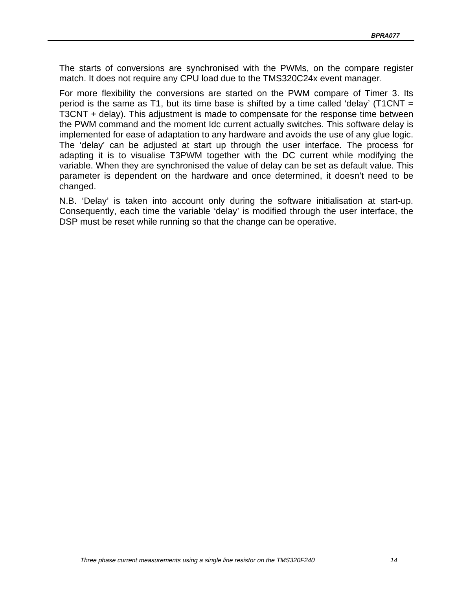The starts of conversions are synchronised with the PWMs, on the compare register match. It does not require any CPU load due to the TMS320C24x event manager.

For more flexibility the conversions are started on the PWM compare of Timer 3. Its period is the same as T1, but its time base is shifted by a time called 'delay' (T1CNT  $=$ T3CNT + delay). This adjustment is made to compensate for the response time between the PWM command and the moment Idc current actually switches. This software delay is implemented for ease of adaptation to any hardware and avoids the use of any glue logic. The 'delay' can be adjusted at start up through the user interface. The process for adapting it is to visualise T3PWM together with the DC current while modifying the variable. When they are synchronised the value of delay can be set as default value. This parameter is dependent on the hardware and once determined, it doesn't need to be changed.

N.B. 'Delay' is taken into account only during the software initialisation at start-up. Consequently, each time the variable 'delay' is modified through the user interface, the DSP must be reset while running so that the change can be operative.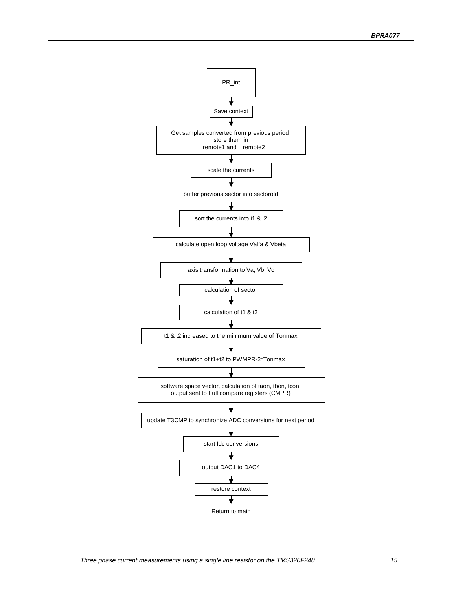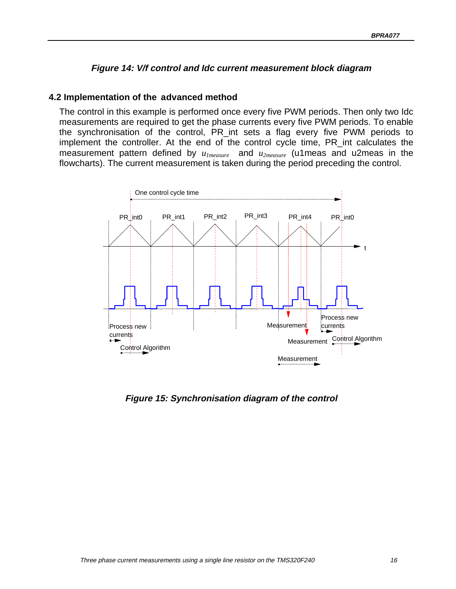#### **Figure 14: V/f control and Idc current measurement block diagram**

#### <span id="page-19-0"></span>**4.2 Implementation of the advanced method**

The control in this example is performed once every five PWM periods. Then only two Idc measurements are required to get the phase currents every five PWM periods. To enable the synchronisation of the control, PR\_int sets a flag every five PWM periods to implement the controller. At the end of the control cycle time, PR\_int calculates the measurement pattern defined by *u1measure* and *u2measure* (u1meas and u2meas in the flowcharts). The current measurement is taken during the period preceding the control.



**Figure 15: Synchronisation diagram of the control**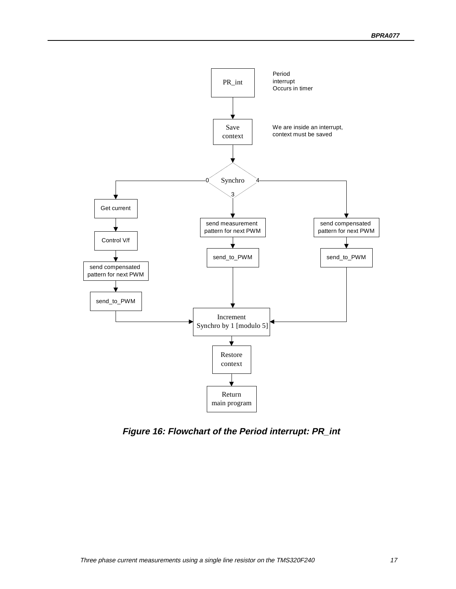<span id="page-20-0"></span>

**Figure 16: Flowchart of the Period interrupt: PR\_int**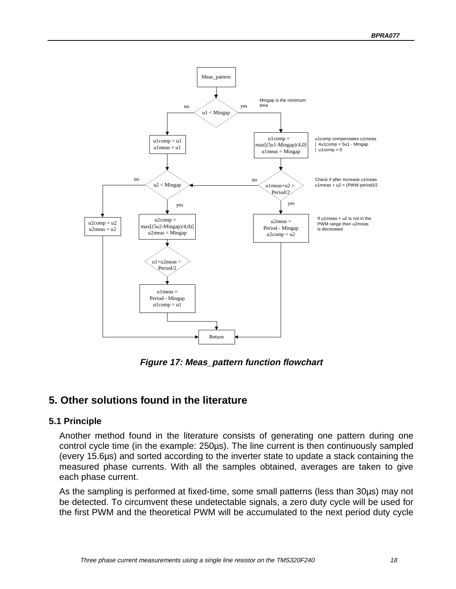<span id="page-21-0"></span>

**Figure 17: Meas\_pattern function flowchart**

# **5. Other solutions found in the literature**

#### **5.1 Principle**

Another method found in the literature consists of generating one pattern during one control cycle time (in the example: 250µs). The line current is then continuously sampled (every 15.6µs) and sorted according to the inverter state to update a stack containing the measured phase currents. With all the samples obtained, averages are taken to give each phase current.

As the sampling is performed at fixed-time, some small patterns (less than 30µs) may not be detected. To circumvent these undetectable signals, a zero duty cycle will be used for the first PWM and the theoretical PWM will be accumulated to the next period duty cycle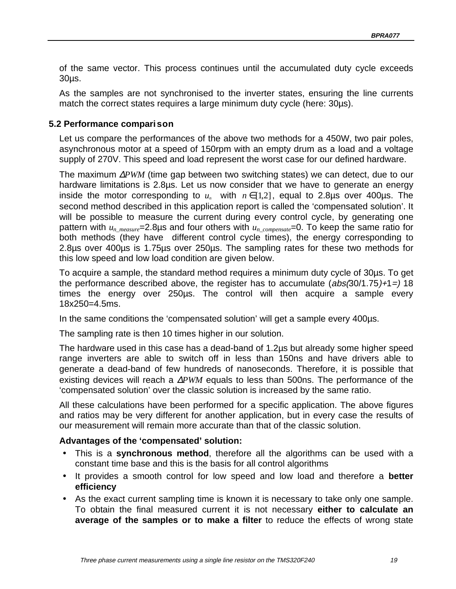<span id="page-22-0"></span>of the same vector. This process continues until the accumulated duty cycle exceeds 30µs.

As the samples are not synchronised to the inverter states, ensuring the line currents match the correct states requires a large minimum duty cycle (here: 30µs).

#### **5.2 Performance comparison**

Let us compare the performances of the above two methods for a 450W, two pair poles, asynchronous motor at a speed of 150rpm with an empty drum as a load and a voltage supply of 270V. This speed and load represent the worst case for our defined hardware.

The maximum ∆*PWM* (time gap between two switching states) we can detect, due to our hardware limitations is 2.8µs. Let us now consider that we have to generate an energy inside the motor corresponding to  $u_n$  with  $n \in [1,2]$ , equal to 2.8µs over 400µs. The second method described in this application report is called the 'compensated solution'. It will be possible to measure the current during every control cycle, by generating one pattern with  $u_n_{measure}$ =2.8µs and four others with  $u_n_{complete}$ =0. To keep the same ratio for both methods (they have different control cycle times), the energy corresponding to 2.8µs over 400µs is 1.75µs over 250µs. The sampling rates for these two methods for this low speed and low load condition are given below.

To acquire a sample, the standard method requires a minimum duty cycle of 30µs. To get the performance described above, the register has to accumulate  $(abs(30/1.75)+1=)$  18 times the energy over 250µs. The control will then acquire a sample every 18x250=4.5ms.

In the same conditions the 'compensated solution' will get a sample every 400µs.

The sampling rate is then 10 times higher in our solution.

The hardware used in this case has a dead-band of 1.2µs but already some higher speed range inverters are able to switch off in less than 150ns and have drivers able to generate a dead-band of few hundreds of nanoseconds. Therefore, it is possible that existing devices will reach a ∆*PWM* equals to less than 500ns. The performance of the 'compensated solution' over the classic solution is increased by the same ratio.

All these calculations have been performed for a specific application. The above figures and ratios may be very different for another application, but in every case the results of our measurement will remain more accurate than that of the classic solution.

#### **Advantages of the 'compensated' solution:**

- This is a **synchronous method**, therefore all the algorithms can be used with a constant time base and this is the basis for all control algorithms
- It provides a smooth control for low speed and low load and therefore a **better efficiency**
- As the exact current sampling time is known it is necessary to take only one sample. To obtain the final measured current it is not necessary **either to calculate an average of the samples or to make a filter** to reduce the effects of wrong state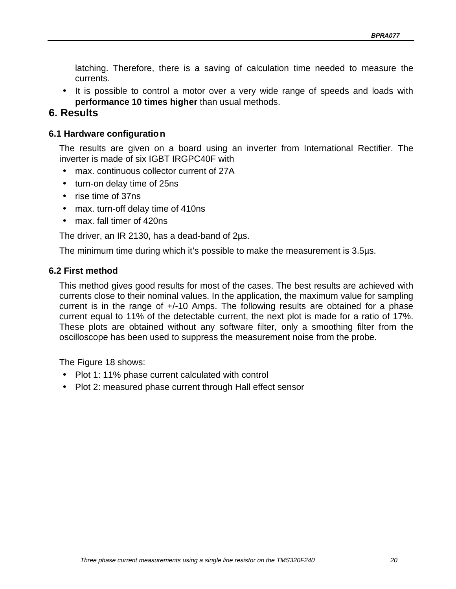<span id="page-23-0"></span>latching. Therefore, there is a saving of calculation time needed to measure the currents.

• It is possible to control a motor over a very wide range of speeds and loads with **performance 10 times higher** than usual methods.

# **6. Results**

#### **6.1 Hardware configuration**

The results are given on a board using an inverter from International Rectifier. The inverter is made of six IGBT IRGPC40F with

- max. continuous collector current of 27A
- turn-on delay time of 25ns
- rise time of 37ns
- max. turn-off delay time of 410ns
- max. fall timer of 420ns

The driver, an IR 2130, has a dead-band of 2µs.

The minimum time during which it's possible to make the measurement is 3.5µs.

#### **6.2 First method**

This method gives good results for most of the cases. The best results are achieved with currents close to their nominal values. In the application, the maximum value for sampling current is in the range of +/-10 Amps. The following results are obtained for a phase current equal to 11% of the detectable current, the next plot is made for a ratio of 17%. These plots are obtained without any software filter, only a smoothing filter from the oscilloscope has been used to suppress the measurement noise from the probe.

The Figure 18 shows:

- Plot 1: 11% phase current calculated with control
- Plot 2: measured phase current through Hall effect sensor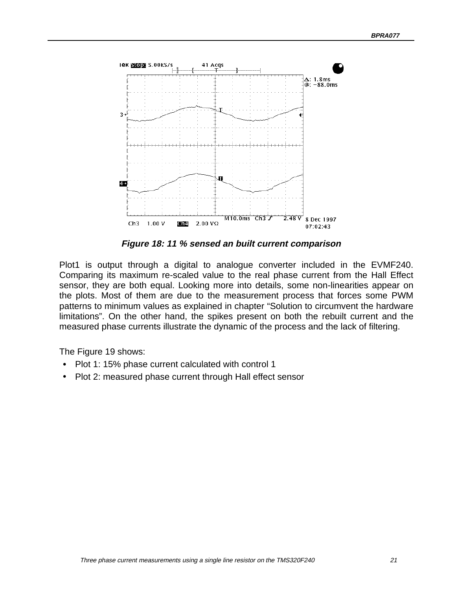<span id="page-24-0"></span>

**Figure 18: 11 % sensed an built current comparison**

Plot1 is output through a digital to analogue converter included in the EVMF240. Comparing its maximum re-scaled value to the real phase current from the Hall Effect sensor, they are both equal. Looking more into details, some non-linearities appear on the plots. Most of them are due to the measurement process that forces some PWM patterns to minimum values as explained in chapter "Solution to circumvent the hardware limitations". On the other hand, the spikes present on both the rebuilt current and the measured phase currents illustrate the dynamic of the process and the lack of filtering.

The Figure 19 shows:

- Plot 1: 15% phase current calculated with control 1
- Plot 2: measured phase current through Hall effect sensor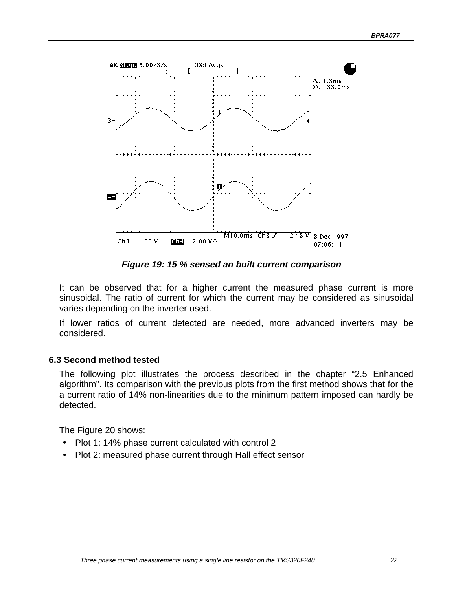<span id="page-25-0"></span>

**Figure 19: 15 % sensed an built current comparison**

It can be observed that for a higher current the measured phase current is more sinusoidal. The ratio of current for which the current may be considered as sinusoidal varies depending on the inverter used.

If lower ratios of current detected are needed, more advanced inverters may be considered.

#### **6.3 Second method tested**

The following plot illustrates the process described in the chapter "2.5 Enhanced algorithm". Its comparison with the previous plots from the first method shows that for the a current ratio of 14% non-linearities due to the minimum pattern imposed can hardly be detected.

The Figure 20 shows:

- Plot 1: 14% phase current calculated with control 2
- Plot 2: measured phase current through Hall effect sensor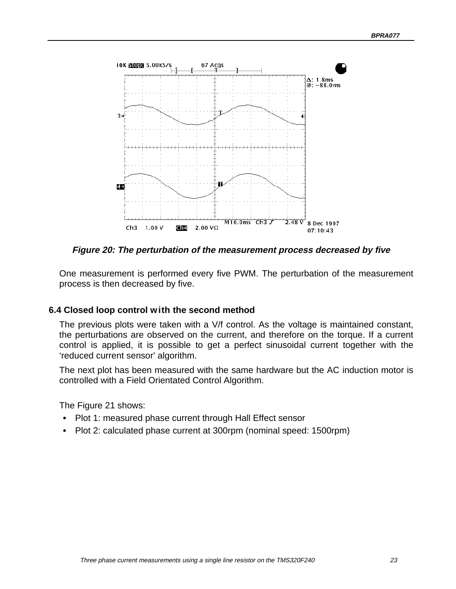<span id="page-26-0"></span>

**Figure 20: The perturbation of the measurement process decreased by five**

One measurement is performed every five PWM. The perturbation of the measurement process is then decreased by five.

#### **6.4 Closed loop control with the second method**

The previous plots were taken with a V/f control. As the voltage is maintained constant, the perturbations are observed on the current, and therefore on the torque. If a current control is applied, it is possible to get a perfect sinusoidal current together with the 'reduced current sensor' algorithm.

The next plot has been measured with the same hardware but the AC induction motor is controlled with a Field Orientated Control Algorithm.

The Figure 21 shows:

- Plot 1: measured phase current through Hall Effect sensor
- Plot 2: calculated phase current at 300rpm (nominal speed: 1500rpm)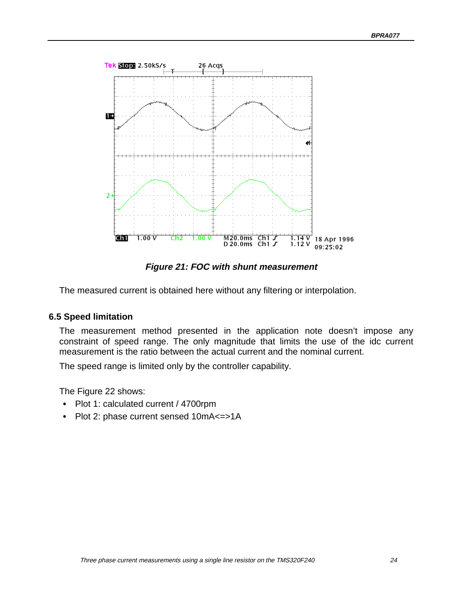<span id="page-27-0"></span>

**Figure 21: FOC with shunt measurement**

The measured current is obtained here without any filtering or interpolation.

#### **6.5 Speed limitation**

The measurement method presented in the application note doesn't impose any constraint of speed range. The only magnitude that limits the use of the idc current measurement is the ratio between the actual current and the nominal current.

The speed range is limited only by the controller capability.

The Figure 22 shows:

- Plot 1: calculated current / 4700rpm
- Plot 2: phase current sensed 10mA<=>1A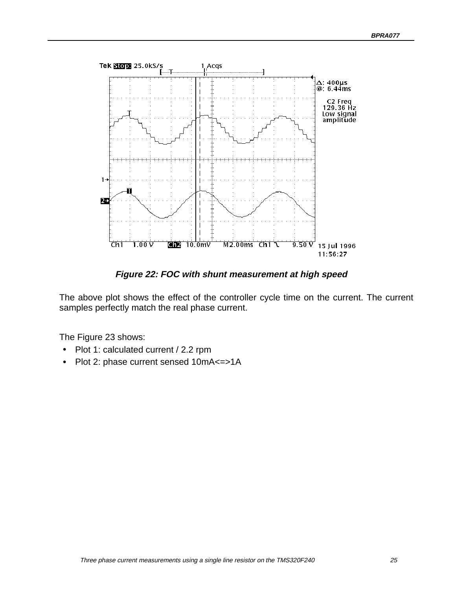<span id="page-28-0"></span>

**Figure 22: FOC with shunt measurement at high speed**

The above plot shows the effect of the controller cycle time on the current. The current samples perfectly match the real phase current.

The Figure 23 shows:

- Plot 1: calculated current / 2.2 rpm
- Plot 2: phase current sensed 10mA<=>1A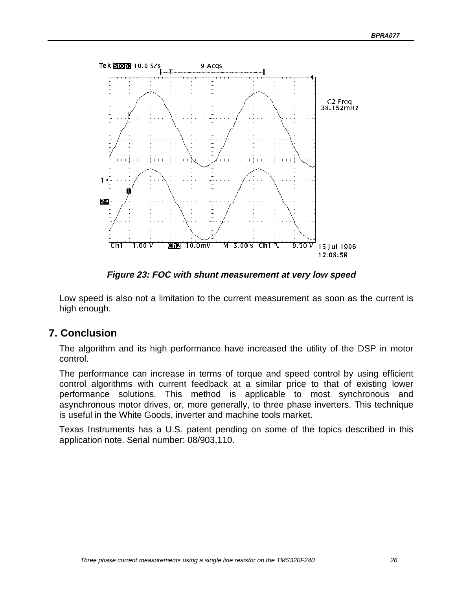<span id="page-29-0"></span>

**Figure 23: FOC with shunt measurement at very low speed**

Low speed is also not a limitation to the current measurement as soon as the current is high enough.

## **7. Conclusion**

The algorithm and its high performance have increased the utility of the DSP in motor control.

The performance can increase in terms of torque and speed control by using efficient control algorithms with current feedback at a similar price to that of existing lower performance solutions. This method is applicable to most synchronous and asynchronous motor drives, or, more generally, to three phase inverters. This technique is useful in the White Goods, inverter and machine tools market.

Texas Instruments has a U.S. patent pending on some of the topics described in this application note. Serial number: 08/903,110.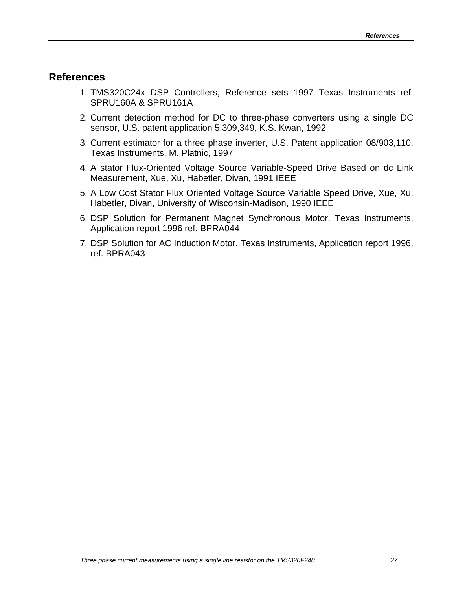#### <span id="page-30-0"></span>**References**

- 1. TMS320C24x DSP Controllers, Reference sets 1997 Texas Instruments ref. SPRU160A & SPRU161A
- 2. Current detection method for DC to three-phase converters using a single DC sensor, U.S. patent application 5,309,349, K.S. Kwan, 1992
- 3. Current estimator for a three phase inverter, U.S. Patent application 08/903,110, Texas Instruments, M. Platnic, 1997
- 4. A stator Flux-Oriented Voltage Source Variable-Speed Drive Based on dc Link Measurement, Xue, Xu, Habetler, Divan, 1991 IEEE
- 5. A Low Cost Stator Flux Oriented Voltage Source Variable Speed Drive, Xue, Xu, Habetler, Divan, University of Wisconsin-Madison, 1990 IEEE
- 6. DSP Solution for Permanent Magnet Synchronous Motor, Texas Instruments, Application report 1996 ref. BPRA044
- 7. DSP Solution for AC Induction Motor, Texas Instruments, Application report 1996, ref. BPRA043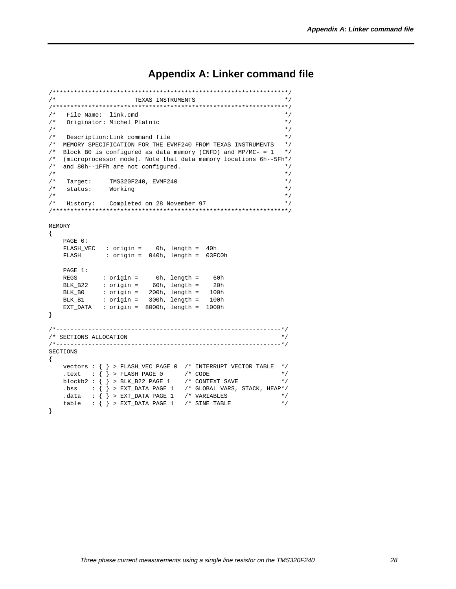# **Appendix A: Linker command file**

```
/******************************************************************/
\hspace{0.1cm} /* \hspace{1.5cm} \hspace{0.1cm} \hspace{0.1cm} \hspace{0.1cm} \hspace{0.1cm} \hspace{0.1cm} \hspace{0.1cm} \hspace{0.1cm} \hspace{0.1cm} \hspace{0.1cm} \hspace{0.1cm} \hspace{0.1cm} \hspace{0.1cm} \hspace{0.1cm} \hspace{0.1cm} \hspace{0.1cm} \hspace{0.1cm} \/******************************************************************/
/* File Name: link.cmd */
    Originator: Michel Platnic
\frac{1}{\sqrt{2}} , \frac{1}{\sqrt{2}} , \frac{1}{\sqrt{2}} , \frac{1}{\sqrt{2}} , \frac{1}{\sqrt{2}} , \frac{1}{\sqrt{2}} , \frac{1}{\sqrt{2}} , \frac{1}{\sqrt{2}} , \frac{1}{\sqrt{2}} , \frac{1}{\sqrt{2}} , \frac{1}{\sqrt{2}} , \frac{1}{\sqrt{2}} , \frac{1}{\sqrt{2}} , \frac{1}{\sqrt{2}} , \frac{1}{\sqrt{2}}/* Description:Link command file */
/* MEMORY SPECIFICATION FOR THE EVMF240 FROM TEXAS INSTRUMENTS */<br>/* Block B0 is configured as data memory (CNFD) and MP/MC- = 1 *//* Block B0 is configured as data memory (CNFD) and MP/MC- = 1/* (microprocessor mode). Note that data memory locations 6h--5Fh*/<br>/* and 80h--1FFh are not configured. */
/* and 80h--1FFh are not configured. \! /*
\frac{1}{\sqrt{2}} *
/* Target: TMS320F240, EVMF240 */
     status: Working
\frac{1}{\sqrt{2}} , \frac{1}{\sqrt{2}} , \frac{1}{\sqrt{2}} , \frac{1}{\sqrt{2}} , \frac{1}{\sqrt{2}} , \frac{1}{\sqrt{2}} , \frac{1}{\sqrt{2}} , \frac{1}{\sqrt{2}} , \frac{1}{\sqrt{2}} , \frac{1}{\sqrt{2}} , \frac{1}{\sqrt{2}} , \frac{1}{\sqrt{2}} , \frac{1}{\sqrt{2}} , \frac{1}{\sqrt{2}} , \frac{1}{\sqrt{2}}/* History: Completed on 28 November 97 */
/******************************************************************/
MEMORY
{
     PAGE 0:
     FLASH_VEC : origin = 0h, length = 40h
     FLASH : origin = 040h, length = 03FC0h
     PAGE 1:
     REGS : origin = 0h, length = 60h
     BLK_B22 : origin = 60h, length = 20h
 BLK_B0 : origin = 200h, length = 100h
 BLK_B1 : origin = 300h, length = 100h
     EXT_DATA : origin = 8000h, length = 1000h
}
/*---------------------------------------------------------------*/
/* SECTIONS ALLOCATION */
/*---------------------------------------------------------------*/
SECTIONS
{
     vectors : { } > FLASH_VEC PAGE 0 /* INTERRUPT VECTOR TABLE */
.text : \{\} > FLASH PAGE 0 \quad /* CODE */
 blockb2 : { } > BLK_B22 PAGE 1 /* CONTEXT SAVE */
 .bss : { } > EXT_DATA PAGE 1 /* GLOBAL VARS, STACK, HEAP*/
.data : \{\} > EXT_DATA PAGE 1 \quad /* VARIABLES */
 table : { } > EXT_DATA PAGE 1 /* SINE TABLE */
}
```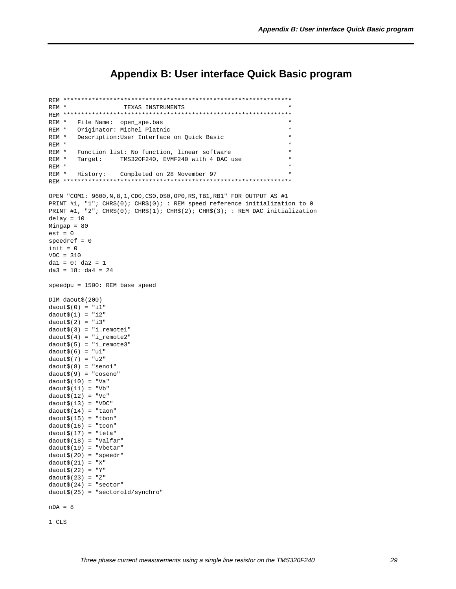## **Appendix B: User interface Quick Basic program**

```
REM ****************************************************************
REM * TEXAS INSTRUMENTS *
REM ****************************************************************
REM * File Name: open_spe.bas
REM * Originator: Michel Platnic
REM * Description: User Interface on Quick Basic
REM * *
REM * Function list: No function, linear software<br>REM * Target: TMS320F240, EVMF240 with 4 DAC
               TMS320F240, EVMF240 with 4 DAC use
REM * \starREM * History: Completed on 28 November 97
REM ****************************************************************
OPEN "COM1: 9600,N,8,1,CD0,CS0,DS0,OP0,RS,TB1,RB1" FOR OUTPUT AS #1
PRINT #1, "1"; CHR$(0); CHR$(0); : REM speed reference initialization to 0
PRINT #1, "2"; CHR$(0); CHR$(1); CHR$(2); CHR$(3); : REM DAC initialization
delay = 10Mingap = 80
est = 0speedref = 0
init = 0VDC = 310dal = 0: da2 = 1da3 = 18: da4 = 24
speedpu = 1500: REM base speed
DIM daout$(200)
daout$(0) = "i1"daout$(1) = "i2"
daout(2) = "i3"daout$(3) = "i_remotel"
daout(4) = "i_remote2"daout$(5) = "i_remote3"
daout$(6) = "u1"daout$(7) = "u2"
daout$(8) = "seno1"
daout$(9) = "coseno"
daout$(10) = "Va"daout(11) = "Vb"daout(12) = "Vc"daout$(13) = "VDC"daout$(14) = "tan"daout$(15) = "tbon"daout$(16) = "tion"daout$(17) = "teta"daout$(18) = "Valfar"daout$(19) = "Vbetar"daout$(20) = "speedr"daout$(21) = "X"
daout$(22) = "Y"
daout$(23) = "Z"
daout$(24) = "sector"daout$(25) = "sectorold/synchro"
nDA = 8
```

```
1 CLS
```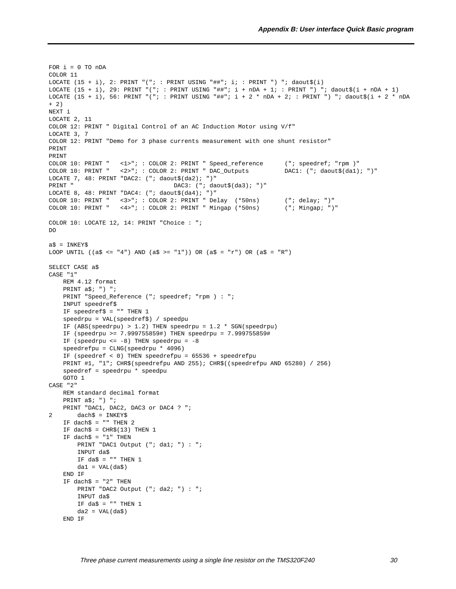```
FOR i = 0 TO nDACOLOR 11
LOCATE (15 + i), 2: PRINT "("; : PRINT USING "##"; i; : PRINT ") "; daout$(i)
LOCATE (15 + i), 29: PRINT "("; : PRINT USING "##"; i + nDA + 1; : PRINT ") "; daout$(i + nDA + 1)LOCATE (15 + i), 56: PRINT "("; : PRINT USING "##"; i + 2 * nDA + 2; : PRINT ") "; daout$(i + 2 * nDA+ 2)
NEXT i
LOCATE 2, 11
COLOR 12: PRINT " Digital Control of an AC Induction Motor using V/f"
LOCATE 3, 7
COLOR 12: PRINT "Demo for 3 phase currents measurement with one shunt resistor"
PRINT
PRINT
COLOR 10: PRINT " <1>"; : COLOR 2: PRINT " Speed_reference ("; speedref; "rpm )"
COLOR 10: PRINT " <2>"; : COLOR 2: PRINT " DAC_Outputs DAC1: ("; daout$(da1); ")"
LOCATE 7, 48: PRINT "DAC2: ("; daout$(da2); ")"
PRINT " DAC3: ("; daout$(da3); ")"
LOCATE 8, 48: PRINT "DAC4: ("; daout$(da4); ")"
COLOR 10: PRINT " <3>"; : COLOR 2: PRINT " Delay (*50ns) ("; delay; ")"
COLOR 10: PRINT " <4>"; : COLOR 2: PRINT " Mingap (*50ns) ("; Mingap; ")"
COLOR 10: LOCATE 12, 14: PRINT "Choice : ";
DO
a$ = INKEY$LOOP UNTIL ((a$ <= "4") AND (a$ >= "1")) OR (a$ = "r") OR (a$ = "R")
SELECT CASE a$
CASE "1"
    REM 4.12 format
    PRINT a$; ") ";
    PRINT "Speed_Reference ("; speedref; "rpm ) : ";
     INPUT speedref$
     IF speedref$ = "" THEN 1
     speedrpu = VAL(speedref$) / speedpu
     IF (ABS(speedrpu) > 1.2) THEN speedrpu = 1.2 * SGN(speedrpu)
     IF (speedrpu >= 7.999755859#) THEN speedrpu = 7.999755859#
    IF (speedrpu \le -8) THEN speedrpu = -8 speedrefpu = CLNG(speedrpu * 4096)
     IF (speedref < 0) THEN speedrefpu = 65536 + speedrefpu
     PRINT #1, "1"; CHR$(speedrefpu AND 255); CHR$((speedrefpu AND 65280) / 256)
     speedref = speedrpu * speedpu
    GOTO 1
CASE "2"
    REM standard decimal format
     PRINT a$; ") ";
    PRINT "DAC1, DAC2, DAC3 or DAC4 ? ";
2 dach$ = INKEY$
    IF dach\frac{1}{2} = "" THEN 2
    IF dach\zeta = CHR\zeta(13) THEN 1
    IF dach$ = "1" THEN
       PRINT "DAC1 Output ("; da1; ") : ";
        INPUT da$
       IF da\ = "" THEN 1
       da1 = VAL(da$) END IF
    IF dach\beta = "2" THEN
       PRINT "DAC2 Output ("; da2; ") : ";
        INPUT da$
       IF da$ = "" THEN 1
       da2 = VAL(da$) END IF
```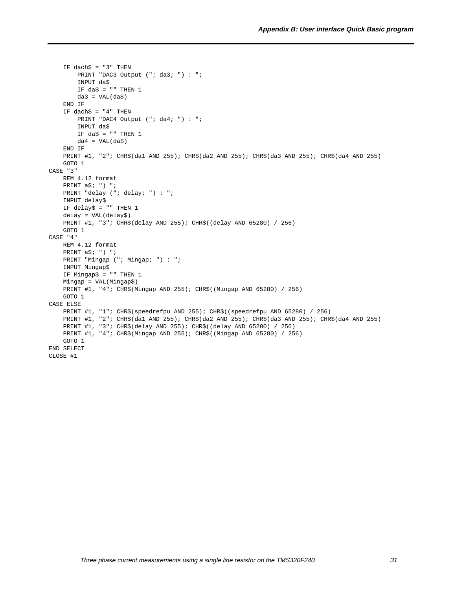```
IF dach\text{S} = "3" THEN
        PRINT "DAC3 Output ("; da3; ") : ";
         INPUT da$
       IF da\ = "" THEN 1
        da3 = VAL(da$) END IF
    IF dach\frac{1}{2} = "4" THEN
       PRINT "DAC4 Output ("; da4; ") : ";
        INPUT da$
        IF da$ = "" THEN 1
        da4 = VAL(da$) END IF
     PRINT #1, "2"; CHR$(da1 AND 255); CHR$(da2 AND 255); CHR$(da3 AND 255); CHR$(da4 AND 255)
    GOTO 1
CASE "3"
    REM 4.12 format
     PRINT a$; ") ";
    PRINT "delay ("; delay; ") : ";
     INPUT delay$
     IF delay$ = "" THEN 1
     delay = VAL(delay$)
    PRINT #1, "3"; CHR$(delay AND 255); CHR$((delay AND 65280) / 256)
    GOTO 1
CASE "4"
    REM 4.12 format
     PRINT a$; ") ";
     PRINT "Mingap ("; Mingap; ") : ";
     INPUT Mingap$
     IF Mingap$ = "" THEN 1
     Mingap = VAL(Mingap$)
     PRINT #1, "4"; CHR$(Mingap AND 255); CHR$((Mingap AND 65280) / 256)
    GOTO 1
CASE ELSE
    PRINT #1, "1"; CHR$(speedrefpu AND 255); CHR$((speedrefpu AND 65280) / 256)
     PRINT #1, "2"; CHR$(da1 AND 255); CHR$(da2 AND 255); CHR$(da3 AND 255); CHR$(da4 AND 255)
     PRINT #1, "3"; CHR$(delay AND 255); CHR$((delay AND 65280) / 256)
     PRINT #1, "4"; CHR$(Mingap AND 255); CHR$((Mingap AND 65280) / 256)
     GOTO 1
END SELECT
CLOSE #1
```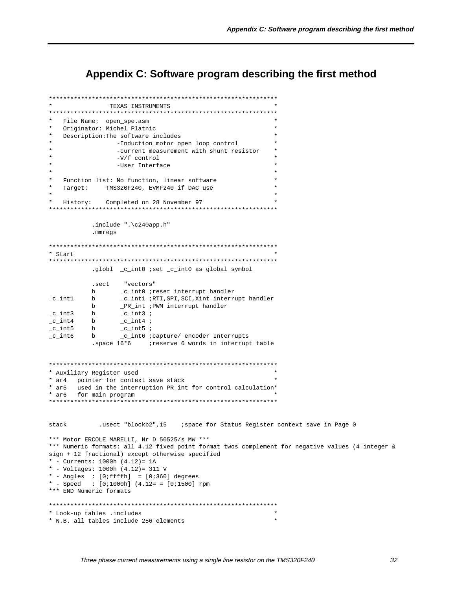## **Appendix C: Software program describing the first method**

```
****************************************************************
                TEXAS INSTRUMENTS
****************************************************************
* File Name: open_spe.asm *
  Originator: Michel Platnic
  Description: The software includes
                  -Induction motor open loop control
                  -current measurement with shunt resistor
                  -V/f control
                  -User Interface
\star \starFunction list: No function, linear software
   Target: TMS320F240, EVMF240 if DAC use
\star \starHistory: Completed on 28 November 97
****************************************************************
            .include ".\c240app.h"
            .mmregs
****************************************************************
* Start *
****************************************************************
            .globl _c_int0 ;set _c_int0 as global symbol
            .sect "vectors"
b _c_int0 ;reset interrupt handler<br>
_c_int1 b _c_int1 ;RTI,SPI,SCI,Xint interru<br>
b __PR_int ;PWM interrupt handler
_c_int1 b _c_int1 ;RTI,SPI,SCI,Xint interrupt handler
b _PR_int ;PWM interrupt handler
\begin{array}{ccc} \text{c}_\text{int3} & \text{b} & \text{c}_\text{int3} \\ \text{c}_\text{int4} & \text{b} & \text{c}_\text{int4} \end{array}\mathsf{c}\_int4 b \mathsf{c}\_int4 ;
\text{c}_\text{int5} b \text{c}_\text{int5};
                   _cint6 ;capture/ encoder Interrupts
           .space 16*6 ;reserve 6 words in interrupt table
****************************************************************
* Auxiliary Register used *
* ar4 pointer for context save stack
* ar5 used in the interruption PR_int for control calculation*
* ar6 for main program *
****************************************************************
stack .usect "blockb2",15 ; space for Status Register context save in Page 0
*** Motor ERCOLE MARELLI, Nr D 50525/s MW ***
*** Numeric formats: all 4.12 fixed point format twos complement for negative values (4 integer &
sign + 12 fractional) except otherwise specified
* - Currents: 1000h (4.12)= 1A
* - Voltages: 1000h (4.12)= 311 V
* - Angles : [0;ffffh] = [0;360] degrees
* - Speed : [0;1000h] (4.12= = [0;1500] rpm
*** END Numeric formats
****************************************************************
* Look-up tables .includes *
* N.B. all tables include 256 elements *
```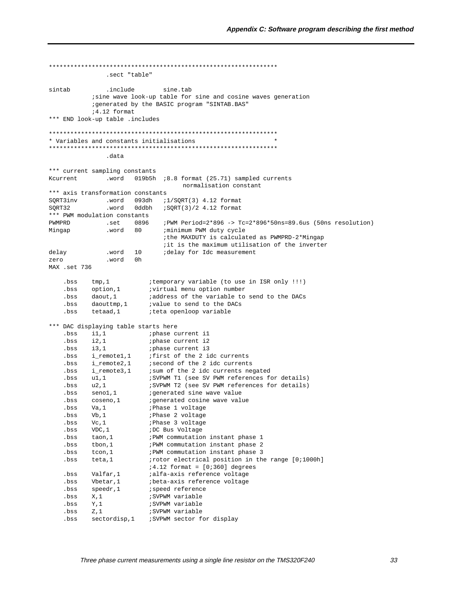.sect "table" sintab .include sine.tab isine wave look-up table for sine and cosine waves generation ; generated by the BASIC program "SINTAB. BAS"  $74.12$  format \*\*\* END look-up table .includes \* Variables and constants initialisations .data \*\*\* current sampling constants normalisation constant \*\*\* axis transformation constants  $SQRT3inv$  .word 093dh  $i1/SQRT(3)$  4.12 format  $SQRT32$  .word 0ddbh  $iSQRT(3)/2$  4.12 format \*\*\* PWM modulation constants .set  $0896$  ; PWM Period=2\*896 -> Tc=2\*896\*50ns=89.6us (50ns resolution) PWMPRD .word 80 ;minimum PWM duty cycle Mingap ithe MAXDUTY is calculated as PWMPRD-2\*Mingap it is the maximum utilisation of the inverter .word 10 delav idelay for Idc measurement .word 0h zero MAX .set 736 itemporary variable (to use in ISR only !!!) .bss  $tmp, 1$ option, 1 virtual menu option number . bss iaddress of the variable to send to the DACs bss daout.1 ivalue to send to the DACs bss daouttmp, 1 .bss tetaad, 1 iteta openloop variable \*\*\* DAC displaying table starts here DAC displaying table starts here<br>
.bss i1,1 ; phase current i1<br>
.bss i2,1 ; phase current i2<br>
.bss i\_remote1,1 ; first of the 2 idc currents<br>
.bss i\_remote2,1 ; second of the 2 idc currents<br>
.bss i\_remote3,1 ; sum of the 2 Solution of the set of the set of the set of the set of the set of the set of the set of the set of the set of the set of the set of the set of the set of the set of the set of the set of the set of the set of the set of t  $i4.12$  format =  $[0i360]$  degrees bs valfar,1<br>
bs valfar,1<br>
ialfa-axis reference voltage<br>
bs vbetar,1<br>
ibeta-axis reference voltage<br>
bs speedr,1<br>
ispeed reference ;SVPWM variable  $.bss$   $X,1$ SVPWM variable  $.bss$   $Y,1$ ;SVPWM variable  $.bss$   $Z,1$ .bss sectordisp,1 : SVPWM sector for display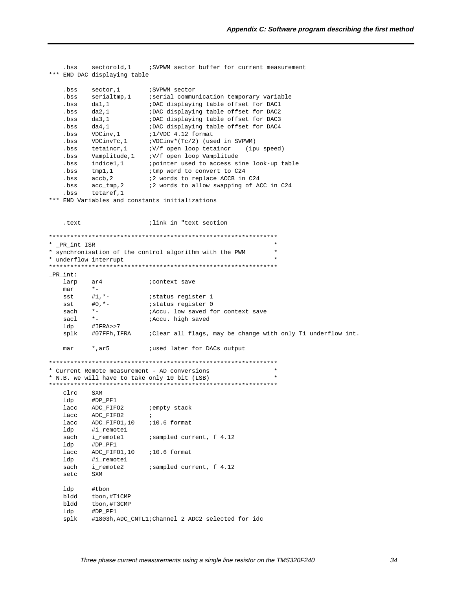```
sectorold.1
                           SVPWM sector buffer for current measurement
    .bss
*** END DAC displaying table
    .bss
           sector, 1
                            ; SVPWM sector
          hssbertaining, the communication compount variable.<br>
bs dal,1 iDAC displaying table offset for DAC1<br>
bs dal,1 iDAC displaying table offset for DAC2<br>
bs dal,1 iDAC displaying table offset for DAC3
          \begin{array}{ccc}\n&\text{and } \text{displaying } \text{tab}\n\hline\n\text{S} & \text{S} & \text{S} \\
\text{S} & \text{S} & \text{S} & \text{S} \\
\text{VDCinv} & \text{S} & \text{S} & \text{S} & \text{S} \\
\text{VDCinv} & \text{S} & \text{S} & \text{S} & \text{S} \\
\text{VDCinv} & \text{S} & \text{S} & \text{S} & \text{S} \\
\text{S} & \text{S} & \text{S} & \text{S} & \text{S} & \text{S} \\
\text{S} & \text{S} & \text{S; DAC displaying table offset for DAC4
    .bss da4,1
    .bss VDCinv, 1
    .bss
                            ;VDCinv*(Tc/2) (used in SVPWM)
    .bss
                            :V/f open loop tetaincr (1pu speed)
           .bss
         Vampirium.<br>
indicel,1 (pointer used to access -<br>
*mnl.1 (tmp word to convert to C24)
                           ; pointer used to access sine look-up table
    .bss
    .bss tmp1,1#2 words to replace ACCB in C24
   ,bss \, accb,2:2 words to allow swapping of ACC in C24
   .bss acc_tmp, 2.bss tetaref, 1
*** END Variables and constants initializations
                             ; link in "text section
    .text
* _PR_int ISR
* synchronisation of the control algorithm with the PWM
* underflow interrupt
_R-PR_int:
   larp
          ar<sub>4</sub>; context save
   max* -#1, * –
                           istatus register 1
   sst
           \#0 , ^{\star} –
                           istatus register 0
   sst
           \star_-sach
                           ; Accu. low saved for context save
            \stariAccu. high saved
   sacl
           #IFRA>>7
   ldp
          #07FFh, IFRA : Clear all flags, may be change with only T1 underflow int.
   splk
            ^*, ar 5
                            iused later for DACs output
   max* Current Remote measurement - AD conversions
* N.B. we will have to take only 10 bit (LSB)
circ SXMldp
           #DP_PF1
          ADC_FIFO2
   lacc
                            ;empty stack
          ADC_FIFO2
   lacc
                             \cdot :
   lacc ADC_FIFO1,10 :10.6 format
           #i_remote1
   ldp
   sach i_remote1
                            ; sampled current, f 4.12
           #DP_PF1
   ldp
           ADC_FIFO1,10 ;10.6 format
   lacc
   1dp#i remotel
            sach
   setc
           SXM
           #tbon
   1dpbldd tbon, #T1CMP
   bldd tbon, #T3CMP
            #DP PF1
   ldp
   splk
            #1803h, ADC_CNTL1; Channel 2 ADC2 selected for idc
```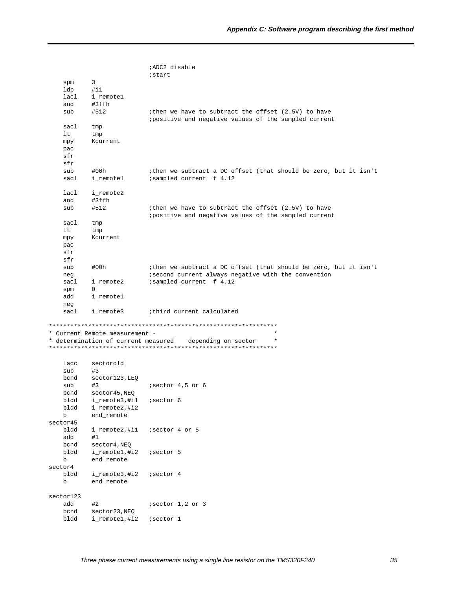|                 |                                     | ;ADC2 disable                                                                                               |
|-----------------|-------------------------------------|-------------------------------------------------------------------------------------------------------------|
|                 |                                     | istart                                                                                                      |
| spm             | 3                                   |                                                                                                             |
| ldp             | $\#$ il                             |                                                                                                             |
| lacl            | i_remotel                           |                                                                                                             |
| and             | #3ffh                               |                                                                                                             |
| sub             | #512                                | ithen we have to subtract the offset (2.5V) to have<br>positive and negative values of the sampled current  |
| sacl            | tmp                                 |                                                                                                             |
| lt              | tmp                                 |                                                                                                             |
| mpy             | Kcurrent                            |                                                                                                             |
| pac             |                                     |                                                                                                             |
| sfr<br>sfr      |                                     |                                                                                                             |
| sub             | #00h                                | ithen we subtract a DC offset (that should be zero, but it isn't                                            |
| sacl            | i_remotel                           | isampled current f 4.12                                                                                     |
|                 |                                     |                                                                                                             |
| lacl            | i_remote2                           |                                                                                                             |
| and             | #3ffh                               |                                                                                                             |
| sub             | #512                                | ithen we have to subtract the offset (2.5V) to have<br>ipositive and negative values of the sampled current |
| sacl            | tmp                                 |                                                                                                             |
| lt.             | tmp                                 |                                                                                                             |
| mpy             | Kcurrent                            |                                                                                                             |
| pac             |                                     |                                                                                                             |
| sfr             |                                     |                                                                                                             |
| sfr             |                                     |                                                                                                             |
| sub             | #00h                                | ithen we subtract a DC offset (that should be zero, but it isn't                                            |
| neg             |                                     | isecond current always negative with the convention                                                         |
| sacl            | i_remote2<br>$\Omega$               | isampled current f 4.12                                                                                     |
| spm<br>add      |                                     |                                                                                                             |
| neg             | i_remotel                           |                                                                                                             |
| sacl            | i_remote3                           | ithird current calculated                                                                                   |
|                 |                                     |                                                                                                             |
|                 |                                     |                                                                                                             |
|                 | * Current Remote measurement -      | $\star$                                                                                                     |
|                 | * determination of current measured | depending on sector                                                                                         |
| lacc            | sectorold                           |                                                                                                             |
| sub             | #3                                  |                                                                                                             |
| bcnd            | sector123, LEQ                      |                                                                                                             |
| sub             | #3                                  | isector 4,5 or 6                                                                                            |
| bcnd            | sector45, NEQ                       |                                                                                                             |
| bldd            | i_remote3,#i1                       | isector 6                                                                                                   |
| bldd            | i_remote2,#i2                       |                                                                                                             |
| b               | end_remote                          |                                                                                                             |
| sector45        |                                     |                                                                                                             |
| bldd            | i_remote2,#i1                       | isector 4 or 5                                                                                              |
| add             | #1                                  |                                                                                                             |
| bcnd            | sector4, NEQ                        |                                                                                                             |
| bldd            | i_remote1,#i2                       | isector 5                                                                                                   |
| b               | end_remote                          |                                                                                                             |
| sector4<br>bldd | i_remote3,#i2                       | isector 4                                                                                                   |
| b               | end_remote                          |                                                                                                             |
|                 |                                     |                                                                                                             |
| sector123       |                                     |                                                                                                             |
| add             | #2                                  | $i$ sector $1,2$ or $3$                                                                                     |
| bcnd            | sector23, NEQ                       |                                                                                                             |
| bldd            | i_remote1,#i2                       | <i>i</i> sector 1                                                                                           |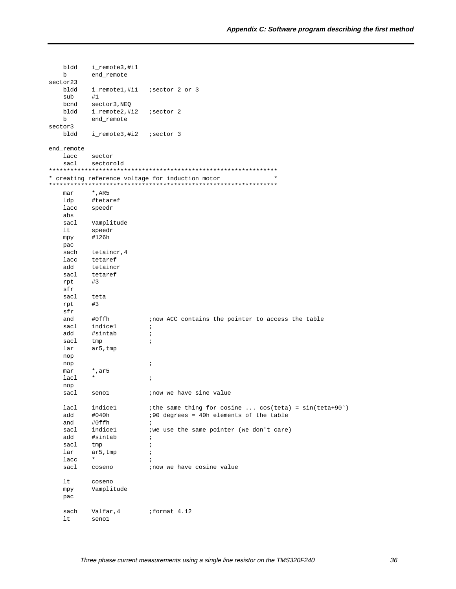| bldd       | i_remote3,#i1 |                                                                       |
|------------|---------------|-----------------------------------------------------------------------|
| b          | end_remote    |                                                                       |
| sector23   |               |                                                                       |
| bldd       | i_remote1,#i1 | isector 2 or 3                                                        |
| sub        | #1            |                                                                       |
| bcnd       | sector3, NEQ  |                                                                       |
| bldd       | i_remote2,#i2 | isector 2                                                             |
| b          | end remote    |                                                                       |
|            |               |                                                                       |
| sector3    |               |                                                                       |
| bldd       | i_remote3,#i2 | ;sector 3                                                             |
|            |               |                                                                       |
| end_remote |               |                                                                       |
| lacc       | sector        |                                                                       |
| sacl       | sectorold     |                                                                       |
|            |               |                                                                       |
|            |               | $\star$<br>* creating reference voltage for induction motor           |
|            |               |                                                                       |
| mar        | $*$ , AR5     |                                                                       |
| ldp        | #tetaref      |                                                                       |
| lacc       | speedr        |                                                                       |
| abs        |               |                                                                       |
| sacl       | Vamplitude    |                                                                       |
| lt         | speedr        |                                                                       |
| mpy        | #126h         |                                                                       |
| pac        |               |                                                                       |
| sach       | tetaincr, 4   |                                                                       |
| lacc       | tetaref       |                                                                       |
| add        | tetaincr      |                                                                       |
| sacl       | tetaref       |                                                                       |
|            |               |                                                                       |
| rpt<br>sfr | #3            |                                                                       |
| sacl       | teta          |                                                                       |
| rpt        | #3            |                                                                       |
| sfr        |               |                                                                       |
| and        | #0ffh         | inow ACC contains the pointer to access the table                     |
| sacl       | indice1       | $\ddot{i}$                                                            |
| add        | #sintab       | $\ddot{i}$                                                            |
| sacl       | tmp           | $\ddot{i}$                                                            |
| lar        |               |                                                                       |
|            |               |                                                                       |
|            | ar5, tmp      |                                                                       |
| nop        |               |                                                                       |
| nop        |               | $\ddot{i}$                                                            |
| mar        | *,ar5         |                                                                       |
| lacl       | $^\star$      | $\ddot{i}$                                                            |
| nop        |               |                                                                       |
| sacl       | seno1         | inow we have sine value                                               |
|            |               |                                                                       |
| lacl       | indicel       | <i>i</i> the same thing for cosine $cos(teta) = sin(teta+90^{\circ})$ |
| add        | #040h         | :90 degrees = 40h elements of the table                               |
| and        | #0ffh         | $\ddot{i}$                                                            |
| sacl       | indicel       | iwe use the same pointer (we don't care)                              |
| add        | #sintab       | $\ddot{i}$                                                            |
| sacl       | tmp           | $\ddot{i}$                                                            |
| lar        | ar5, tmp      | $\ddot{i}$                                                            |
| lacc       | $\star$       | $\ddot{i}$                                                            |
| sacl       | coseno        | ; now we have cosine value                                            |
|            |               |                                                                       |
| lt.        | coseno        |                                                                       |
| mpy        | Vamplitude    |                                                                       |
| pac        |               |                                                                       |
|            |               |                                                                       |
| sach       | Valfar, 4     | ;format 4.12                                                          |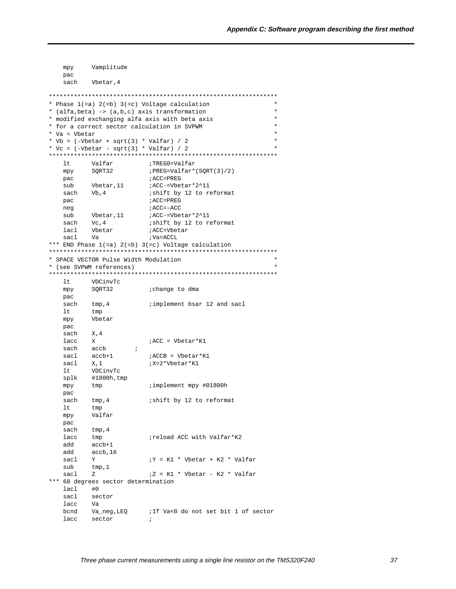```
Vamplitude
   mpy
   pac
         Vbetar, 4
   sach
* Phase 1 (=a) 2 (=b) 3 (=c) Voltage calculation
* (alfa, beta) -> (a,b,c) axis transformation
                                                  \star* modified exchanging alfa axis with beta axis
* for a correct sector calculation in SVPWM
* Va = Vbetar
* Vb = (-Vbetar + sqrt(3) * Valfar) / 2* Vc = (-\text{Vbetar} - \text{sqrt}(3) * \text{Valfar}) / 2lt;TREG0=Valfar
        Valfar
                  ; PREG=Valfar*(SQRT(3)/2)
  mpy SQRT32
  pac
                     ; ACC=PREG
        \verb|Vbetar, 11| | i ACC=Vbetar*2^11|sub
                    ishift by 12 to reformat
   sach Vb, 4
                     ; ACC=PREG
   pac
                      ; ACC=-ACC
   neg
        Vbetar, 11 <br>Vc, 4 <br>ishift by 12 to reformat
   sub
       Vc, 4
   sach
                  ACC=Vbetar
        Vbetar
  lacl
  sacl
        Va
                     ; Va=ACCL
*** END Phase 1(=a) 2(=b) 3(=c) Voltage calculation
* SPACE VECTOR Pulse Width Modulation
* (see SVPWM references)
ltVDCinvTc
      SQRT32
                     ;change to dma
   mpy
   pac
                     iimplement bsar 12 and sacl
   sach tmp, 4
   lttmp
        Vbetar
   mpy
   pac
   sach
        X, 4lacc
        X<br>accb ;<br>accb+1
         X;ACC = Vbetar*K1
       accb
   sach
   sacl
                     ;ACCB = Vbetar*K1
   sacl
       X, 1;X=2*Vbetar*K1
   ltVDCinvTc
   splk #1800h, tmp
                     implement mpy #01800h
   mpy
        tmp
   pac
   sachtmp, 4ishift by 12 to reformat
   lttmp
   mpy
         Valfar
   pac
       tmp, 4sach
   lacc tmp
                     ; reload ACC with Valfar*K2
   hha
        accb+1
   add
        accb.16sacl
         YiY = K1 * Vbetar + K2 * Valfarsub
         tmp, 1iZ = K1 * Vbetar - K2 * Valfar\mathtt{sacl}Z*** 60 degrees sector determination
   lac1 #0
   sacl
        sector
   lacc
        Va
       Va_neg, LEQ : If Va<0 do not set bit 1 of sector
   hand
   lacc sector
                     \cdot \cdot
```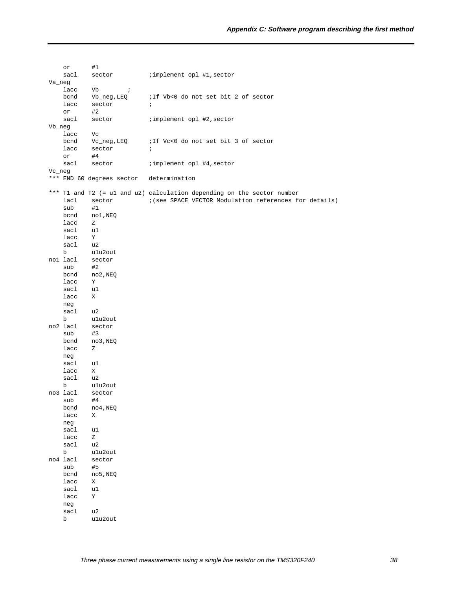|            | or              | #1                        |                                                                        |
|------------|-----------------|---------------------------|------------------------------------------------------------------------|
|            | sacl            | sector                    | ; implement opl #1, sector                                             |
| Va_neg     |                 |                           |                                                                        |
|            | lacc            | Vb<br>$\mathcal{L}$       |                                                                        |
|            | bcnd            | Vb_neg,LEQ                | ;If Vb<0 do not set bit 2 of sector                                    |
|            | lacc            | sector                    | $\ddot{i}$                                                             |
|            | or              | #2                        |                                                                        |
|            | sacl            |                           | ; implement opl #2, sector                                             |
|            |                 | sector                    |                                                                        |
| $Vb_{neg}$ |                 |                           |                                                                        |
|            | lacc            | Vc                        |                                                                        |
|            |                 | bcnd Vc_neg, LEQ          | i If Vc<0 do not set bit 3 of sector                                   |
|            | lacc            | sector                    | $\ddot{i}$                                                             |
|            | or              | #4                        |                                                                        |
|            | sacl            | sector                    | ; implement opl #4, sector                                             |
| Vc_neg     |                 |                           |                                                                        |
|            |                 | *** END 60 degrees sector | determination                                                          |
|            |                 |                           | *** T1 and T2 (= u1 and u2) calculation depending on the sector number |
|            | lacl            | sector                    | ; (see SPACE VECTOR Modulation references for details)                 |
|            | sub             | #1                        |                                                                        |
|            | bcnd            | nol,NEQ                   |                                                                        |
|            | lacc            |                           |                                                                        |
|            |                 | Z                         |                                                                        |
|            | sacl            | u1<br>$\mathbf{Y}$        |                                                                        |
|            | lacc            |                           |                                                                        |
|            | sacl u2         |                           |                                                                        |
|            | b               | u1u2out                   |                                                                        |
|            | nol lacl        | sector                    |                                                                        |
|            | sub             | #2                        |                                                                        |
|            | bcnd            | no2,NEQ                   |                                                                        |
|            | lacc            | Y                         |                                                                        |
|            | sacl            | u1                        |                                                                        |
|            | lacc            | X                         |                                                                        |
|            | neg             |                           |                                                                        |
|            | sacl            | u2                        |                                                                        |
|            | b               | ulu2out                   |                                                                        |
|            | no2 lacl        | sector                    |                                                                        |
|            | sub             | #3                        |                                                                        |
|            | bcnd            | no3,NEQ                   |                                                                        |
|            | lacc            | Ζ                         |                                                                        |
|            |                 |                           |                                                                        |
|            | neg             |                           |                                                                        |
|            | sacl            | u1                        |                                                                        |
|            | lacc            | X                         |                                                                        |
|            | sacl            | u2                        |                                                                        |
|            | b               | ulu2out                   |                                                                        |
|            | no3 lacl        | sector                    |                                                                        |
|            | sub             | #4                        |                                                                        |
|            | bcnd            | no4,NEQ                   |                                                                        |
|            | lacc            | Χ                         |                                                                        |
|            | neg             |                           |                                                                        |
|            | sacl            | u1                        |                                                                        |
|            | lacc            | Ζ                         |                                                                        |
|            | sacl            | u2                        |                                                                        |
|            | b               | ulu2out                   |                                                                        |
|            | no4 lacl        | sector                    |                                                                        |
|            | sub             | #5                        |                                                                        |
|            | $_{\rm {bend}}$ | no5, NEQ                  |                                                                        |
|            | lacc            | Χ                         |                                                                        |
|            | sacl            | u1                        |                                                                        |
|            |                 |                           |                                                                        |
|            | lacc            | Υ                         |                                                                        |
|            | neg             |                           |                                                                        |
|            | sacl            | u2                        |                                                                        |
|            | b               | ulu2out                   |                                                                        |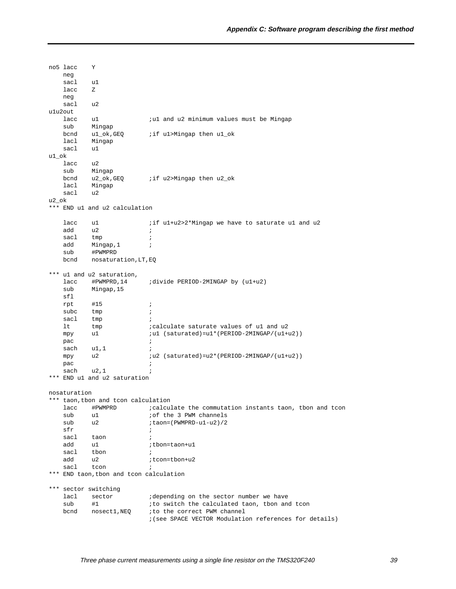no5 lacc Y neg sacl u1 lacc Z neg sacl u2 u1u2out lacc u1  $i$ u1 and u2 minimum values must be Mingap sub Mingap bcnd u1\_ok, GEQ *iif u1*>Mingap then u1\_ok lacl Mingap sacl u1 u1\_ok  $l$ acc  $u$ 2 sub Mingap bcnd u2\_ok, GEQ *iif u2>Mingap then u2\_ok*  lacl Mingap sacl u2 u2\_ok \*\*\* END u1 and u2 calculation lacc u1  $\int$  if u1+u2>2\*Mingap we have to saturate u1 and u2 add u2 ; sacl tmp ; add Mingap, 1 ; sub #PWMPRD bcnd nosaturation,LT,EQ \*\*\* u1 and u2 saturation, lacc #PWMPRD,14 ;divide PERIOD-2MINGAP by (u1+u2) sub Mingap,15 sfl rpt #15 ;  $\begin{tabular}{lllllll} \multicolumn{2}{c}{\text{subc}} & $\text{tmp}$ & $\quad$ & $i$ \\ \text{sad} & $\text{tmp}$ & $\quad$ & $i$ \\ \end{tabular}$ sacl tmp lt tmp ;calculate saturate values of u1 and u2 mpy u1  $i$ u1 (saturated)=u1\*(PERIOD-2MINGAP/(u1+u2))  $pac$  $s$ ach u1,1 ; mpy u2  $iu2$  (saturated)=u2\*(PERIOD-2MINGAP/(u1+u2)) pac ; sach  $u2,1$  ; \*\*\* END u1 and u2 saturation nosaturation \*\*\* taon,tbon and tcon calculation lacc #PWMPRD ;calculate the commutation instants taon, tbon and tcon sub u1  $\qquad \qquad$  ; of the 3 PWM channels sub u2 ;taon=(PWMPRD-u1-u2)/2  $sfr$ sacl taon ; add u1  $\qquad \qquad$  ; tbon=taon+u1 sacl tbon ; add u2 *i*tcon=tbon+u2 sacl tcon ; \*\*\* END taon,tbon and tcon calculation \*\*\* sector switching lacl sector : idepending on the sector number we have sub #1  $\qquad$  ; to switch the calculated taon, tbon and tcon bcnd nosect1, NEQ ; to the correct PWM channel ;(see SPACE VECTOR Modulation references for details)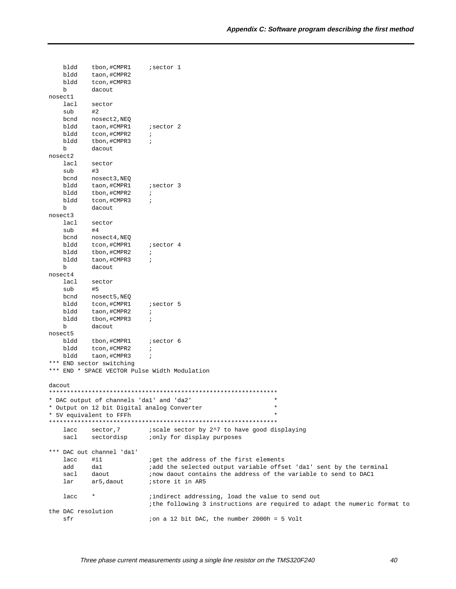|        | bldd<br>bldd<br>bldd      | tbon, #CMPR1<br>taon, #CMPR2<br>tcon, #CMPR3 | <i>i</i> sector 1                                                        |
|--------|---------------------------|----------------------------------------------|--------------------------------------------------------------------------|
|        | b                         | dacout                                       |                                                                          |
|        | nosect1<br>lacl           |                                              |                                                                          |
|        | sub                       | sector<br>#2                                 |                                                                          |
|        | bcnd                      | nosect2, NEQ                                 |                                                                          |
|        | bldd                      | taon, #CMPR1                                 | ; sector 2                                                               |
|        | bldd                      | tcon, #CMPR2                                 | $\ddot{i}$                                                               |
|        | bldd                      | tbon, #CMPR3                                 | $\ddot{i}$                                                               |
|        | b                         | dacout                                       |                                                                          |
|        | nosect2                   |                                              |                                                                          |
|        | lacl                      | sector                                       |                                                                          |
|        | sub                       | #3                                           |                                                                          |
|        | bcnd                      | nosect3, NEQ                                 |                                                                          |
|        | bldd                      | taon,#CMPR1                                  | isector 3                                                                |
|        | bldd                      | tbon, #CMPR2                                 | $\ddot{i}$                                                               |
|        | bldd                      | tcon, #CMPR3                                 | $\ddot{i}$                                                               |
|        | b                         | dacout                                       |                                                                          |
|        | nosect3                   |                                              |                                                                          |
|        | lacl                      | sector                                       |                                                                          |
|        | sub                       | #4                                           |                                                                          |
|        | bcnd<br>bldd              | nosect4, NEQ<br>tcon, #CMPR1                 | isector 4                                                                |
|        | bldd                      | tbon, #CMPR2                                 | $\ddot{i}$                                                               |
|        | bldd                      | taon, #CMPR3                                 | $\ddot{i}$                                                               |
|        | b                         | dacout                                       |                                                                          |
|        | nosect4                   |                                              |                                                                          |
|        | lacl                      | sector                                       |                                                                          |
|        | sub                       | #5                                           |                                                                          |
|        | bcnd                      | nosect5, NEQ                                 |                                                                          |
|        | bldd                      | tcon, #CMPR1                                 | isector 5                                                                |
|        | bldd                      | taon, #CMPR2                                 | $\ddot{i}$                                                               |
|        | bldd                      | tbon, #CMPR3                                 | $\ddot{i}$                                                               |
|        | b                         | dacout                                       |                                                                          |
|        | nosect5                   |                                              |                                                                          |
|        | bldd                      | tbon, #CMPR1                                 | isector 6                                                                |
|        | bldd                      | tcon, #CMPR2                                 | $\ddot{i}$                                                               |
|        | bldd                      | taon, #CMPR3                                 | $\ddot{i}$                                                               |
|        |                           | *** END sector switching                     |                                                                          |
|        |                           |                                              | *** END * SPACE VECTOR Pulse Width Modulation                            |
| dacout |                           |                                              |                                                                          |
|        |                           |                                              |                                                                          |
|        |                           | * DAC output of channels 'dal' and 'da2'     | $^\star$                                                                 |
|        |                           |                                              | * Output on 12 bit Digital analog Converter<br>$\star$                   |
|        |                           | * 5V equivalent to FFFh                      |                                                                          |
|        |                           |                                              |                                                                          |
|        | lacc                      | sector,7                                     | iscale sector by 2^7 to have good displaying                             |
|        | sacl                      | sectordisp                                   | ;only for display purposes                                               |
|        |                           |                                              |                                                                          |
|        |                           | *** DAC out channel 'dal'                    |                                                                          |
|        | lacc                      | $\sharp$ il                                  | iget the address of the first elements                                   |
|        | add                       | da1                                          | iadd the selected output variable offset 'dal' sent by the terminal      |
|        | sacl                      | daout                                        | inow daout contains the address of the variable to send to DAC1          |
|        | lar                       | ar5, daout                                   | istore it in AR5                                                         |
|        |                           |                                              |                                                                          |
|        | lacc                      | *                                            | ; indirect addressing, load the value to send out                        |
|        |                           |                                              | the following 3 instructions are required to adapt the numeric format to |
|        | the DAC resolution<br>sfr |                                              |                                                                          |
|        |                           |                                              | ion a 12 bit DAC, the number 2000h = 5 Volt                              |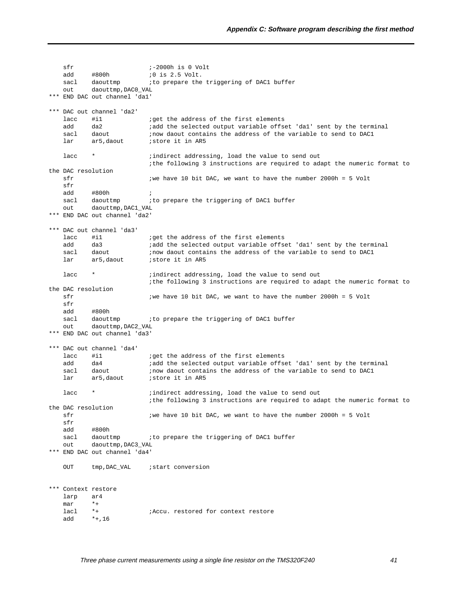```
 sfr ;-2000h is 0 Volt
   add #800h ;0 is 2.5 Volt.
   sacl daouttmp : to prepare the triggering of DAC1 buffer
    out daouttmp,DAC0_VAL
*** END DAC out channel 'da1'
*** DAC out channel 'da2'
   lacc #il iget the address of the first elements
   add da2 iadd the selected output variable offset 'dal' sent by the terminal<br>sacl daout inow daout contains the address of the variable to send to DACl
   sacl daout ;now daout contains the address of the variable to send to DAC1
   lar ar5, daout istore it in AR5
   lacc * * ;indirect addressing, load the value to send out
                          ;the following 3 instructions are required to adapt the numeric format to
the DAC resolution
   sfr ;we \text{ have } 10 \text{ bit } DAC, we want to have the number 2000h = 5 Volt
    sfr
    add #800h ;
   sacl daouttmp : to prepare the triggering of DAC1 buffer
    out daouttmp,DAC1_VAL
*** END DAC out channel 'da2'
*** DAC out channel 'da3'
   lacc #i1 \qquad ;get the address of the first elements
   add da3 iadd the selected output variable offset 'dal' sent by the terminal
   sacl daout ;now daout contains the address of the variable to send to DAC1<br>lar ar5.daout ;store it in AR5
   lar ar5,daout istore it in AR5
   lacc * * ;indirect addressing, load the value to send out
                          ;the following 3 instructions are required to adapt the numeric format to
the DAC resolution
   sfr in the start of the start of the start of the start is the number 2000h = 5 Volt
    sfr
    add #800h
   sacl daouttmp : to prepare the triggering of DAC1 buffer
    out daouttmp,DAC2_VAL
*** END DAC out channel 'da3'
*** DAC out channel 'da4'
   lacc #il iget the address of the first elements
   add da4 iadd the selected output variable offset 'dal' sent by the terminal
   sacl daout :now daout contains the address of the variable to send to DAC1
   lar ar5,daout istore it in AR5
   lacc * * ;indirect addressing, load the value to send out
                          ;the following 3 instructions are required to adapt the numeric format to
the DAC resolution
   sfr ;we \text{ have 10 bit DAC}, we want to have the number 2000h = 5 Volt sfr
    add #800h
   sacl daouttmp : to prepare the triggering of DAC1 buffer
    out daouttmp,DAC3_VAL
*** END DAC out channel 'da4'
   OUT tmp, DAC_VAL ; start conversion
*** Context restore
    larp ar4
   mar *+<br>lacl *+
   lacl *+ ;Accu. restored for context restore
    add *+,16
```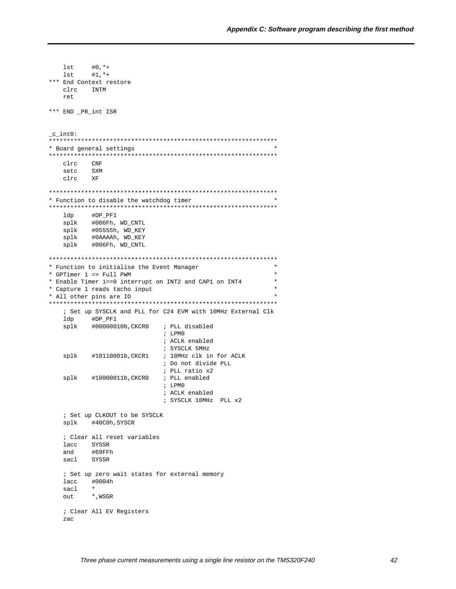```
#0, **lst.
  lst
       #1, ***** End Context restore
  circTNTM
  r \in \mathbb{R}*** END _PR_int ISR
_c_int0:
* Board general settings
c1rcCNF
  setc
      SXM
  clrc
      XF
* Function to disable the watchdog timer
#DP_PF1
  ldp
      #006Fh, WD_CNTL
  splk
  splk#05555h, WD_KEY
  splk#0AAAAh, WD_KEY
  splk
      #006Fh, WD_CNTL
* Function to initialise the Event Manager
                                             \star* GPTimer 1 \Rightarrow Full PWM
* Enable Timer 1==0 interrupt on INT2 and CAP1 on INT4
* Capture 1 reads tacho input
* All other pins are IO
; Set up SYSCLK and PLL for C24 EVM with 10MHz External Clk
  ldp #DP_PF1
       #00000010b, CKCR0
                     ; PLL disabled
  splk
                      ; LPMO
                      ; ACLK enabled
                      ; SYSCLK 5MHz
                      ; 10MHz clk in for ACLK
  splk
      #10110001b, CKCR1
                      ; Do not divide PLL
                      ; PLL ratio x2
      #10000011b, CKCR0
  splk
                      ; PLL enabled
                      ; LPMO
                      ; ACLK enabled
                      ; SYSCLK 10MHz PLL x2
  ; Set up CLKOUT to be SYSCLK
  splk #40COh, SYSCR
  ; Clear all reset variables
  lacc SYSSR
        #69FFh
  and
  sacl
       SYSSR
  ; Set up zero wait states for external memory
  lacc
       #0004h
  sacl
        \star*, WSGR
  out
  ; Clear All EV Registers
  zac
```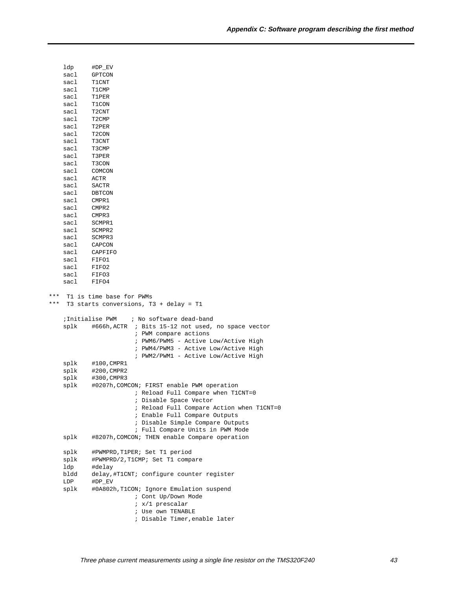|            | ldp          | #DP_EV                                                             |
|------------|--------------|--------------------------------------------------------------------|
|            | sacl         | GPTCON                                                             |
|            | sacl         | T1CNT                                                              |
|            | sacl         | T1CMP                                                              |
|            | sacl         | T1PER                                                              |
|            | sacl         | T1CON                                                              |
|            | sacl         | T2CNT                                                              |
|            | sacl         | T2CMP                                                              |
|            | sacl         | T2PER                                                              |
|            | sacl         | T <sub>2</sub> CON                                                 |
|            | sacl         | T3CNT                                                              |
|            | sacl         | T3CMP                                                              |
|            | sacl         | T3PER                                                              |
|            | sacl         | T3CON                                                              |
|            | sacl         | COMCON                                                             |
|            | sacl         | <b>ACTR</b>                                                        |
|            | sacl         | SACTR                                                              |
|            | sacl         | DBTCON                                                             |
|            | sacl         | CMPR1                                                              |
|            | sacl         | CMPR2                                                              |
|            | sacl         | CMPR3                                                              |
|            | sacl         | SCMPR1                                                             |
|            | sacl         | SCMPR2                                                             |
|            | sacl         | SCMPR3                                                             |
|            | sacl         | CAPCON                                                             |
|            | sacl         | CAPFIFO                                                            |
|            | sacl         | FIFO1                                                              |
|            | sacl<br>sacl | FIFO2                                                              |
|            | sacl         | FIFO3<br>FIFO4                                                     |
|            |              |                                                                    |
| ***<br>*** |              | T1 is time base for PWMs<br>T3 starts conversions, T3 + delay = T1 |
|            |              | ; No software dead-band<br>;Initialise PWM                         |
|            | splk         | #666h, ACTR<br>; Bits 15-12 not used, no space vector              |
|            |              | ; PWM compare actions                                              |
|            |              | ; PWM6/PWM5 - Active Low/Active High                               |
|            |              | ; PWM4/PWM3 - Active Low/Active High                               |
|            |              | ; PWM2/PWM1 - Active Low/Active High                               |
|            | splk         | #100,CMPR1                                                         |
|            | splk         | #200, CMPR2                                                        |
|            | splk         | #300, CMPR3                                                        |
|            | splk         | #0207h,COMCON; FIRST enable PWM operation                          |
|            |              | ; Reload Full Compare when T1CNT=0                                 |
|            |              | ; Disable Space Vector                                             |
|            |              | ; Reload Full Compare Action when T1CNT=0                          |
|            |              | ; Enable Full Compare Outputs                                      |
|            |              | ; Disable Simple Compare Outputs                                   |
|            |              | ; Full Compare Units in PWM Mode                                   |
|            | splk         | #8207h, COMCON; THEN enable Compare operation                      |
|            |              |                                                                    |
|            | splk         | #PWMPRD,T1PER; Set T1 period                                       |
|            | splk         | #PWMPRD/2, T1CMP; Set T1 compare                                   |
|            | ldp          | #delay                                                             |
|            | bldd<br>LDP  | delay,#T1CNT; configure counter register<br>#DP_EV                 |
|            | splk         |                                                                    |
|            |              | #0A802h, T1CON; Ignore Emulation suspend<br>; Cont Up/Down Mode    |
|            |              | ; x/1 prescalar                                                    |
|            |              | ; Use own TENABLE                                                  |
|            |              | ; Disable Timer, enable later                                      |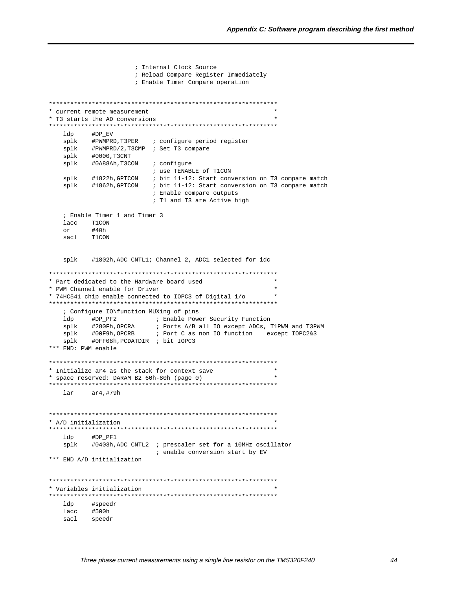```
; Internal Clock Source
                ; Reload Compare Register Immediately
                ; Enable Timer Compare operation
\ddot{\phantom{0}}* current remote measurement
* T3 starts the AD conversions
ldp
       #DP_EV
  splk
       #PWMPRD, T3PER
                   ; configure period register
       #PWMPRD/2, T3CMP ; Set T3 compare
  splk
  splk
       #0000,T3CNT
  splk #0A88Ah, T3CON
                  ; configure
                   ; use TENABLE of T1CON
  splk #1822h, GPTCON ; bit 11-12: Start conversion on T3 compare match
  splk #1862h, GPTCON ; bit 11-12: Start conversion on T3 compare match
                  ; Enable compare outputs
                   ; T1 and T3 are Active high
  ; Enable Timer 1 and Timer 3
  lacc T1CON
  or
       #40h
  sacl T1CON
        #1802h, ADC CNTL1; Channel 2, ADC1 selected for idc
  splk
* Part dedicated to the Hardware board used
* PWM Channel enable for Driver
                                           \ddot{\phantom{0}}* 74HC541 chip enable connected to IOPC3 of Digital i/o
; Configure IO\function MUXing of pins
  splk #280Fh, OPCRA : Ports A/B all IO except ADCs, T1PWM and T3PWM<br>splk #00F9h, OPCRB : Port C as non IO function except IOPC2&3<br>splk #0FF08h, PCDATDIR : bit IOPC3
*** END: PWM enable
\star* Initialize ar4 as the stack for context save
* space reserved: DARAM B2 60h-80h (page 0)
lar
       ar4,#79h
* A/D initialization
ldp
        #DP_PF1
  splk #0403h, ADC_CNTL2 ; prescaler set for a 10MHz oscillator
                    ; enable conversion start by EV
*** END A/D initialization
* Variables initialization
ldp #speedr
  lacc #500h
  sacl speedr
```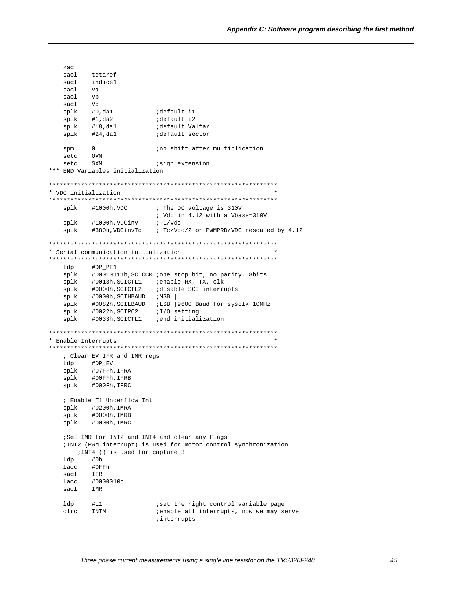```
sacl
        tetaref
  sac1indicel
  sacl
        Va
  sacl
        V<sub>b</sub>sacl
        V_{\rm C}default il;<br>default i2;
       #0,da1
  splk
  splk
       #1, da2default Valfar
       #18,da1
  splk
       #24,da1
                     default sector
  splk
  spm
        \overline{0}ino shift after multiplication
  setc
        OVM
        SXM
                      isign extension
  setc
*** END Variables initialization
* VDC initialization
\verb|splk| + 1000h, \verb|VDC| |; \verb|The DC voltage is 310V; Vdc in 4.12 with a Vbase=310V
       #1000h, VDCinv \qquad ; 1/\text{Vdc}splk
       #380h, VDCinvTc : Tc/Vdc/2 or PWMPRD/VDC rescaled by 4.12
  splk
* Serial communication initialization
ldp
        #DP_PF1
       "- -<br>#00010111b,SCICCR ;one stop bit, no parity, 8bits<br>#0013h,SCICTL1 :enable RX, TX, clk
  splk
  splk
       #0000h, SCICTL2 idisable SCI interrupts
  splk
       #0000h, SCIHBAUD ; MSB
  splk
  splk #0082h, SCILBAUD ; LSB | 9600 Baud for sysclk 10MHz
       splk
  splk
* Enable Interrupts
; Clear EV IFR and IMR regs
  ldp #DP_EV
  splk
       #07FFh, IFRA
  splk #00FFh, IFRB
  splk #000Fh, IFRC
   ; Enable T1 Underflow Int
  splk #0200h, IMRA
  splk
        #0000h, IMRB
  splk #0000h, IMRC
  :Set IMR for INT2 and INT4 and clear any Flags
  ; INT2 (PWM interrupt) is used for motor control synchronization
     ; INT4 () is used for capture 3
  ldp
        #0hlacc
        #0FFh
  sacl
        TFR
  lacc
        #0000010b
  sacl
        IMR
  ldp
       \#i1iset the right control variable page
  clrc INTM
                      ; enable all interrupts, now we may serve
                      interrupts
```
zac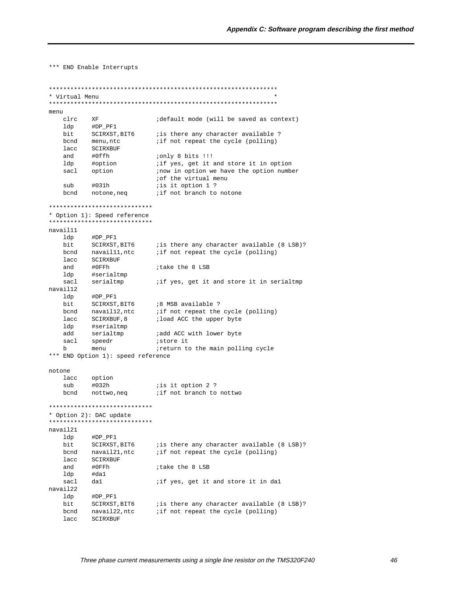\*\*\* END Enable Interrupts

```
* Virtual Menu
menu
   clrc XF
                            idefault mode (will be saved as context)
   1dp \qquad \qquad \mathtt{\#DP\_PF1}-------<br>SCIRXST,BIT6 is there any character available ?<br>monu nto if not repeat the guale (polling)
   bit
   bend menu, ntc
                           if not repeat the cycle (polling)
   lacc
          SCIRXBUF
   and
          #0ffh
                           only 8 bits !!!
                          if yes, get it and store it in option
          #option
   ldp
   sacl option
                          inow in option we have the option number
                          of the virtual menu
         #031h
   \sinhis it option 1 ?
                          if not branch to notone
   bcnd notone, neq
*****************************
* Option 1): Speed reference
*****************************
navail11
   1dp#DP_PF1
   bit SCIRXST, BIT6 : is there any character available (8 LSB)?<br>bond navail11, ntc : if not repeat the cycle (polling)
   lacc SCIRXBUF
   and
          #0FFh
                            itake the 8 LSB
          #serialtmp
   ldp
   sac1serialtmp
                           if yes, get it and store it in serialtmp
navail12
         #DP_PF1
   ldp
   bit SCIRXST, BIT6 :8 MSB available ?<br>bond navail12, ntc :if not repeat the cycle (polling)<br>lacc SCIRXBUF, 8 :load ACC the upper byte
   ldp #serialtmp
          serialtmp
                          ;add ACC with lower byte
   add
         speedr store it<br>menu steturn to the main polling cycle
   sacl
   h*** END Option 1): speed reference
notone
   lacc option
   sub
          #032h
                          is it option 2 ?
   bcnd
                           if not branch to nottwo
         nottwo.neg
*****************************
* Option 2): DAC update
*****************************
navail21
   ldp #DP_PF1
         bit
   bcnd
   lacc
          SCIRXBUF
                           itake the 8 LSB
   and
          #0FFh
   ldp
          #da1
   sacl
          da1
                          iif yes, get it and store it in dal
navail22
   ldp #DP_PF1
   bit SCIRXST, BIT6 : is there any character available (8 LSB)?<br>bcnd navail22, ntc : if not repeat the cycle (polling)
   lacc SCIRXBUF
```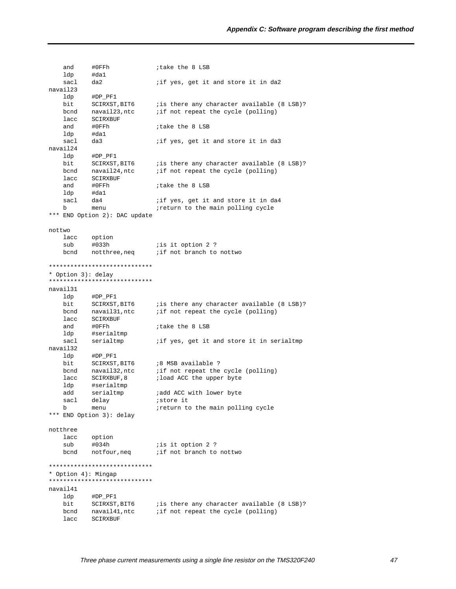and #0FFh ;take the 8 LSB ldp #da1 sacl da2 *iif yes, get it and store it in da2* navail23 ldp #DP\_PF1 bit SCIRXST, BIT6 ; is there any character available (8 LSB)? bcnd navail23,ntc ;if not repeat the cycle (polling) lacc SCIRXBUF<br>and #0FFh and #0FFh ;take the 8 LSB ldp #da1 sacl da3 *iif yes, get it and store it in da3* navail24 ldp #DP\_PF1 bit SCIRXST, BIT6 ; is there any character available (8 LSB)? bcnd navail24, ntc *i* if not repeat the cycle (polling) lacc SCIRXBUF<br>and #0FFh and #0FFh ;take the 8 LSB ldp #da1 sacl da4  $i$  if yes, get it and store it in da4 b menu *ireturn* to the main polling cycle \*\*\* END Option 2): DAC update nottwo lacc option sub #033h ;is it option 2 ? bcnd notthree, neq *i* if not branch to nottwo \*\*\*\*\*\*\*\*\*\*\*\*\*\*\*\*\*\*\*\*\*\*\*\*\*\*\*\*\* \* Option 3): delay \*\*\*\*\*\*\*\*\*\*\*\*\*\*\*\*\*\*\*\*\*\*\*\*\*\*\*\*\* navail31 ldp #DP\_PF1 bit SCIRXST, BIT6 ; is there any character available (8 LSB)? bcnd navail31, ntc *i* if not repeat the cycle (polling) lacc SCIRXBUF and #0FFh ;take the 8 LSB ldp #serialtmp<br>sacl serialtmp serialtmp  $\qquad$  ; if yes, get it and store it in serialtmp navail32 ldp #DP\_PF1 bit SCIRXST, BIT6 :8 MSB available ? bcnd navail32, ntc *i* if not repeat the cycle (polling) lacc SCIRXBUF, 8 ; load ACC the upper byte ldp #serialtmp add serialtmp *;add ACC with lower byte*<br>sacl delay *;store it* sacl delay *istore it* b menu *ireturn* to the main polling cycle \*\*\* END Option 3): delay notthree three<br>lacc option sub #034h ;is it option 2 ?<br>bcnd notfour,neq ;if not branch to bcnd notfour, neq *i* if not branch to nottwo \*\*\*\*\*\*\*\*\*\*\*\*\*\*\*\*\*\*\*\*\*\*\*\*\*\*\*\*\* \* Option 4): Mingap \*\*\*\*\*\*\*\*\*\*\*\*\*\*\*\*\*\*\*\*\*\*\*\*\*\*\*\*\* navail41 ldp #DP\_PF1 bit SCIRXST, BIT6 ; is there any character available (8 LSB)? bcnd navail41,ntc ;if not repeat the cycle (polling) lacc SCIRXBUF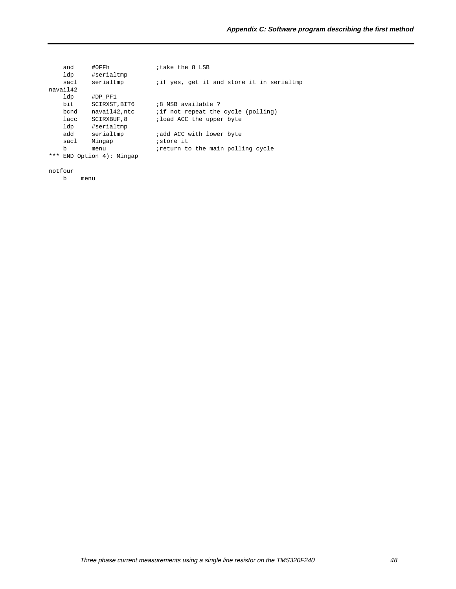|     | and      | #0FFh                   | itake the 8 LSB                          |
|-----|----------|-------------------------|------------------------------------------|
|     | ldp      | #serialtmp              |                                          |
|     | sacl     | serialtmp               | if yes, get it and store it in serialtmp |
|     | navail42 |                         |                                          |
|     | ldp      | #DP PF1                 |                                          |
|     | bit      | SCIRXST, BIT6           | :8 MSB available ?                       |
|     | bcnd     | navail42, ntc           | if not repeat the cycle (polling)        |
|     | lacc     | SCIRXBUF, 8             | ; load ACC the upper byte                |
|     | ldp      | #serialtmp              |                                          |
|     | add      | serialtmp               | add ACC with lower byte                  |
|     | sacl     | Mingap                  | <i>istore</i> it                         |
|     | b        | menu                    | ireturn to the main polling cycle        |
| *** |          | $END$ Option 4): Mingap |                                          |
|     |          |                         |                                          |
|     |          |                         |                                          |

notfour

b menu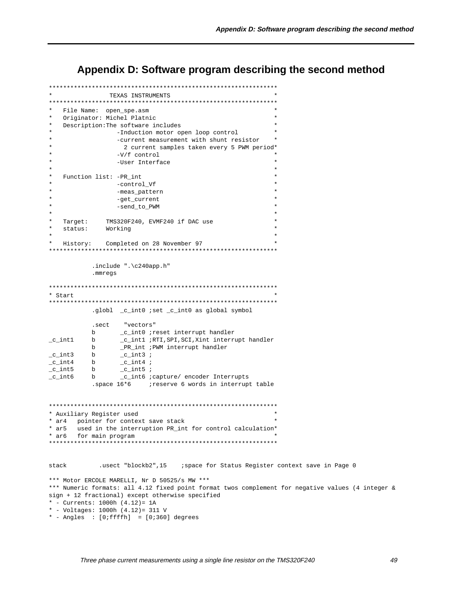Appendix D: Software program describing the second method

```
TEXAS INSTRUMENTS
File Name: open_spe.asm
\starOriginator: Michel Platnic
   Description: The software includes
                 -Induction motor open loop control
                 -current measurement with shunt resistor
                  2 current samples taken every 5 PWM period*
                 -V/f control
                 -User Interface
   Function list: -PR_int
                 -control_Vf
                 -meas_pattern
                 -get_current
                 -send_to_PWM
  Target: TMS320F240, EVMF240 if DAC use
   status: Working
  History: Completed on 28 November 97
\ddot{\bullet}.include ".\c240app.h".mmregs
* Start
.globl _c_int0 ;set _c_int0 as global symbol
          .sect "vectors"
         b \begin{array}{c} \text{c}_\text{int0}^{\bullet} \\ \text{c}_\text{int1}^{\bullet} \\ \text{c}_\text{int2}^{\bullet} \\ \text{c}_\text{int1}^{\bullet} \\ \text{c}_\text{int2}^{\bullet} \\ \text{c}_\text{int3}^{\bullet} \\ \text{d}_\text{int3}^{\bullet} \\ \text{d}_\text{int3}^{\bullet} \\ \text{d}_\text{int4}^{\bullet} \\ \text{d}_\text{int4}^{\bullet} \\ \text{d}_\text{int5}^{\bullet} \\ \text{d}_\text{int5}^{\bullet} \\ \text{d}_\text{int6}^{\bullet} \\ \text{_c_intl ;RTI,SPI,SCI,Xint interrupt handler<br>_PR_int ;PWM interrupt handler
_c_int1 b
         b-c_int3;
c_int3
         b
                _c_c_int4 ;
_c_c_int4
         b_c_c_int5 ;
_c_int5
         \mathbf bb_c_int6 ;capture/ encoder Interrupts
_c_int6* Auxiliary Register used
* ar4 pointer for context save stack
* ar5
      used in the interruption PR_int for control calculation*
* arf
      for main program
stack
            *** Motor ERCOLE MARELLI, Nr D 50525/s MW ***
*** Numeric formats: all 4.12 fixed point format twos complement for negative values (4 integer &
sign + 12 fractional) except otherwise specified
* - Currents: 1000h (4.12) = 1A* - Voltages: 1000h (4.12) = 311 V
* - Angles : [0:ffffh] = [0:360] degrees
```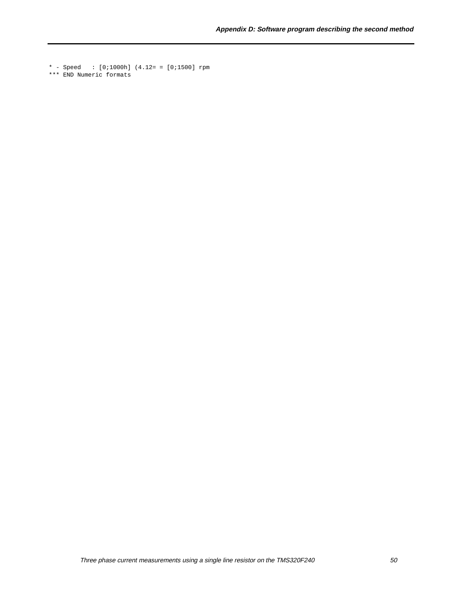\* - Speed : [0;1000h] (4.12= = [0;1500] rpm \*\*\* END Numeric formats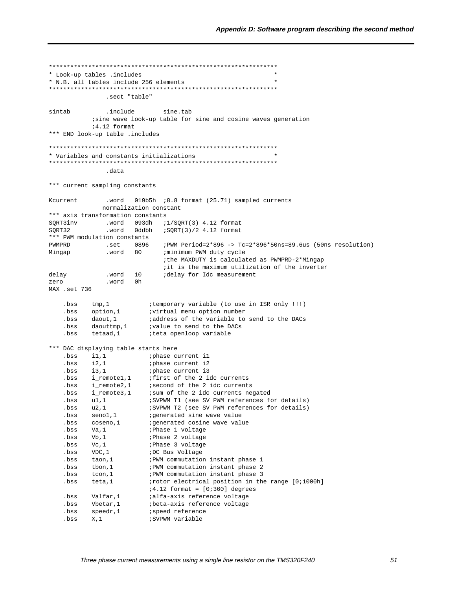```
* Look-up tables .includes
* N.B. all tables include 256 elements
.sect "table"
sintab
                  .include
                                 sine.tab
             isine wave look-up table for sine and cosine waves generation
              14.12 format
*** END look-up table .includes
* Variables and constants initializations
.data
*** current sampling constants
                  .word 019b5h :8.8 format (25.71) sampled currents
Kcurrent
                 normalization constant
*** axis transformation constants
SQRT3inv .word 093dh ;1/SQRT(3) 4.12 format
                  .word 0ddbh :SQRT(3)/2 4.12 format
SORT32
*** PWM modulation constants
                .set 0896 ;PWM Period=2*896 -> Tc=2*896*50ns=89.6us (50ns resolution)
PWMPRD
Mingap
                  .word 80 : minimum PWM duty cycle
                                     ithe MAXDUTY is calculated as PWMPRD-2*Mingap
                                     it is the maximum utilization of the inverter
                .word 10
                                     idelay for Idc measurement
delay
                   .word 0h
zero
MAX .set 736
    \begin{tabular}{lllll} .bss &\text{tmp,1} & & \text{itemporary variable (to use in ISR only III)}\\ .bs & \text{option,1} & \text{ivirtual menu option number}\\ .bs & \text{daut,1} & \text{iaddress of the result}\\ \text{bs:} & \text{in the result} & \text{in the result} \end{tabular}.bss
     . bss
            tetaad,1
                               iteta openloop variable
*** DAC displaying table starts here
    . hss
           i1,1    iphase current i1
     .bss
           i2,1; phase current i2
     .bss i3,1iphase current i3
     .bss i_remotel,1 ; first of the 2 idc currents
    .bss i_remote2,1 isecond of the 2 idc currents<br>bss i_remote2,1 isum of the 2 idc currents negated<br>bss ul,1 iSVPWM Tl (see SV PWM references for
                                ; SVPWM T1 (see SV PWM references for details)
    bss u2,1<br>
SVPWM T2 (see SV PWM references for details)<br>
SERIES SERIES (SVPWM T2 (see SV PWM references for details)<br>
SERIES COSENO,1<br>
SERIES (SPINER STREAM PROPERTY PROPERTY)
                               ;Phase 1 voltage
    .bss Va.1.bss Vb, 1
                               ; Phase 2 voltage
                           France 2 voltage<br>
FRASE 3 voltage<br>
FRAM commutation instant phase 1<br>
FRAM commutation instant phase 2<br>
FRAM commutation instant phase 3<br>
Frotor electrical position in the range [0;1000h]<br>
1.1.0 framet foliol demant
     .bss Vc, 1
             VDC.1.bss
     .bss
             taon, 1
             tbon,1<br>tcon,1
     .bss
     .bss
     .bss teta, 1
                               i4.12 format = [0i360] degrees
    bss Valfar,1 alfa-axis reference voltage<br>bss Wetar,1 beta-axis reference voltage<br>bss seedr,1 beta-axis reference voltage<br>contract the seedred of the set of the set of the set of the set of the set of the set of the set of 
                                ;SVPWM variable
     ,bss X.1
```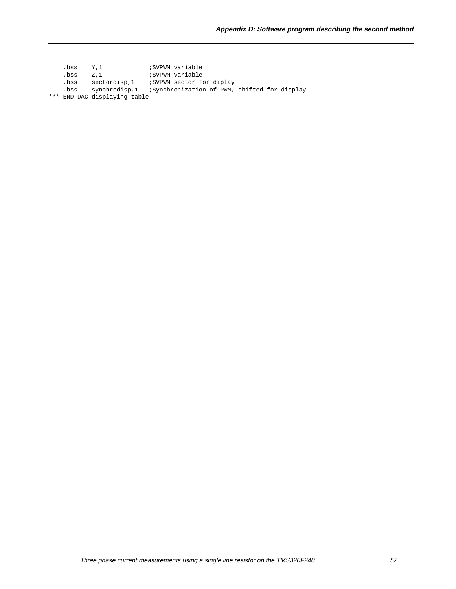.bss Y,1 ;SVPWM variable .bss Z,1 :SVPWM variable .bss sectordisp,1 ;SVPWM sector for diplay .bss synchrodisp,1 ;Synchronization of PWM, shifted for display \*\*\* END DAC displaying table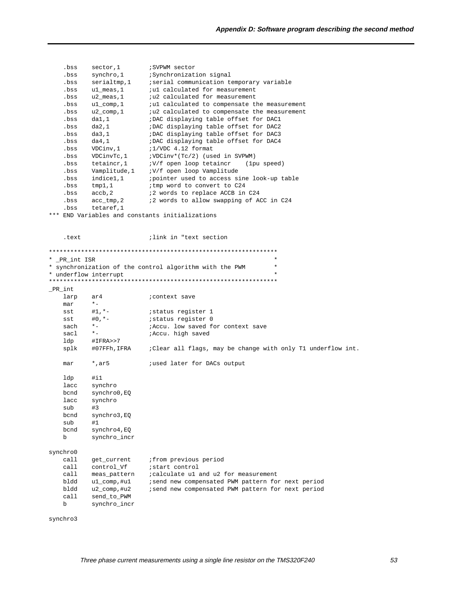| .bss          | sector, 1                   | ; SVPWM sector                                                      |
|---------------|-----------------------------|---------------------------------------------------------------------|
| .bss          | synchro, 1                  | ;Synchronization signal                                             |
| .bss          | serialtmp, 1                | ; serial communication temporary variable                           |
| .bss          | ul_meas,1                   | <i>i</i> ul calculated for measurement                              |
| .bss          | $u2$ _meas, 1               | <i>i</i> u2 calculated for measurement                              |
| .bss          | $ul_{comp, 1}$              | <i>i</i> ul calculated to compensate the measurement                |
| .bss          | $u2$ _comp, 1               | <i>i</i> u2 calculated to compensate the measurement                |
| .bss          | da1,1                       | ;DAC displaying table offset for DAC1                               |
| .bss          | da2,1                       | ;DAC displaying table offset for DAC2                               |
| .bss          | da3,1                       | ; DAC displaying table offset for DAC3                              |
| .bss          | da4,1                       | ; DAC displaying table offset for DAC4                              |
| .bss          | VDCinv, 1                   | ;1/VDC 4.12 format                                                  |
| .bss          | VDCinvTc, 1                 | ;VDCinv*(Tc/2) (used in SVPWM)                                      |
| .bss          | tetaincr, 1                 | :V/f open loop tetaincr<br>(lpu speed)                              |
| .bss          | Vamplitude, 1               | :V/f open loop Vamplitude                                           |
| .bss          | indice1,1                   | ; pointer used to access sine look-up table                         |
| .bss          | tmp1,1                      | ; tmp word to convert to C24                                        |
| .bss          | accb, 2                     | ;2 words to replace ACCB in C24                                     |
| .bss          | acc_tmp,2                   | <i>i</i> 2 words to allow swapping of ACC in C24                    |
| .bss          | tetaref, 1                  |                                                                     |
|               |                             | *** END Variables and constants initializations                     |
|               |                             |                                                                     |
|               |                             |                                                                     |
| .text         |                             | ilink in "text section"                                             |
|               |                             |                                                                     |
|               |                             |                                                                     |
| * _PR_int ISR |                             | $^\star$                                                            |
|               |                             | $^\star$<br>* synchronization of the control algorithm with the PWM |
|               | * underflow interrupt       | $^\star$                                                            |
|               |                             |                                                                     |
| _PR_int       |                             |                                                                     |
| larp          | ar4                         | <i>i</i> context save                                               |
| mar           | $^\star$ $-$                |                                                                     |
| sst           | $#1, *-$                    | istatus register 1                                                  |
| sst           | $#0, *-$                    | istatus register 0                                                  |
| sach          | $*$ $-$                     | ; Accu. low saved for context save                                  |
| sacl          | $*$ $-$                     | <i>i</i> Accu. high saved                                           |
|               |                             |                                                                     |
| ldp           | #IFRA>>7                    |                                                                     |
| splk          | #07FFh,IFRA                 | : Clear all flags, may be change with only T1 underflow int.        |
|               |                             | ; used later for DACs output                                        |
| mar           | $^*$ , ar 5                 |                                                                     |
| ldp           | $\sharp$ il                 |                                                                     |
| lacc          |                             |                                                                     |
|               | synchro                     |                                                                     |
| bcnd          | synchro0, EQ                |                                                                     |
| lacc          | synchro                     |                                                                     |
| sub           | #3                          |                                                                     |
| bcnd          | synchro3, EQ                |                                                                     |
| sub           | #1                          |                                                                     |
| bcnd          | synchro4,EQ                 |                                                                     |
| b             | synchro_incr                |                                                                     |
|               |                             |                                                                     |
| synchro0      |                             |                                                                     |
| call          | get_current                 | <i>i</i> from previous period                                       |
| call          | control_Vf                  | istart control                                                      |
| call          | meas_pattern                | icalculate ul and u2 for measurement                                |
| bldd          | ul comp,#ul                 | isend new compensated PWM pattern for next period                   |
| bldd          | u2_comp,#u2                 | ; send new compensated PWM pattern for next period                  |
| call          |                             |                                                                     |
| b             | send_to_PWM<br>synchro_incr |                                                                     |

synchro3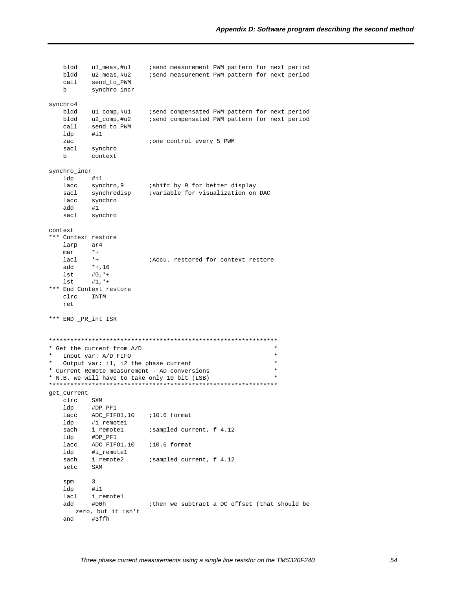|   | bldd<br>bldd<br>call | ul_meas,#ul<br>u2_meas,#u2<br>send_to_PWM | isend measurement PWM pattern for next period<br>isend measurement PWM pattern for next period |  |  |  |
|---|----------------------|-------------------------------------------|------------------------------------------------------------------------------------------------|--|--|--|
|   | b                    | synchro_incr                              |                                                                                                |  |  |  |
|   | synchro4             |                                           |                                                                                                |  |  |  |
|   | bldd                 | ul_comp,#ul                               | isend compensated PWM pattern for next period                                                  |  |  |  |
|   | bldd                 | u2_comp,#u2                               | isend compensated PWM pattern for next period                                                  |  |  |  |
|   | call                 | send_to_PWM                               |                                                                                                |  |  |  |
|   | ldp                  | $\sharp$ il                               |                                                                                                |  |  |  |
|   | zac                  |                                           | <i>i</i> one control every 5 PWM                                                               |  |  |  |
|   | sacl                 | synchro                                   |                                                                                                |  |  |  |
|   | b                    | context                                   |                                                                                                |  |  |  |
|   | synchro_incr         |                                           |                                                                                                |  |  |  |
|   | ldp                  | $\sharp$ il                               |                                                                                                |  |  |  |
|   | lacc                 | synchro, 9                                | ishift by 9 for better display                                                                 |  |  |  |
|   | sacl                 | synchrodisp                               | ;variable for visualization on DAC                                                             |  |  |  |
|   | lacc                 | synchro                                   |                                                                                                |  |  |  |
|   | add                  | #1                                        |                                                                                                |  |  |  |
|   | sacl                 | synchro                                   |                                                                                                |  |  |  |
|   |                      |                                           |                                                                                                |  |  |  |
|   | context              |                                           |                                                                                                |  |  |  |
|   | *** Context restore  |                                           |                                                                                                |  |  |  |
|   | larp                 | ar4                                       |                                                                                                |  |  |  |
|   | mar                  | $*$ +                                     |                                                                                                |  |  |  |
|   | lacl                 | $*$ +                                     | <i>iAccu.</i> restored for context restore                                                     |  |  |  |
|   | add                  | $*+$ , 16                                 |                                                                                                |  |  |  |
|   | lst                  | $#0, **$                                  |                                                                                                |  |  |  |
|   | lst                  | $#1, **$<br>*** End Context restore       |                                                                                                |  |  |  |
|   | clrc                 | INTM                                      |                                                                                                |  |  |  |
|   | ret                  |                                           |                                                                                                |  |  |  |
|   |                      |                                           |                                                                                                |  |  |  |
|   | *** END _PR_int ISR  |                                           |                                                                                                |  |  |  |
|   |                      |                                           |                                                                                                |  |  |  |
|   |                      |                                           |                                                                                                |  |  |  |
|   |                      | * Get the current from A/D                | $^\star$                                                                                       |  |  |  |
|   |                      | Input var: A/D FIFO                       | $^\star$                                                                                       |  |  |  |
| * |                      | Output var: i1, i2 the phase current      | $^\star$                                                                                       |  |  |  |
|   |                      |                                           | * Current Remote measurement - AD conversions<br>$^\star$<br>$\star$                           |  |  |  |
|   |                      |                                           | * N.B. we will have to take only 10 bit (LSB)                                                  |  |  |  |
|   | get_current          |                                           |                                                                                                |  |  |  |
|   | clrc                 | SXM                                       |                                                                                                |  |  |  |
|   | ldp                  | #DP_PF1                                   |                                                                                                |  |  |  |
|   | lacc                 | ADC_FIFO1, 10                             | $:10.6$ format                                                                                 |  |  |  |
|   | ldp                  | #i_remotel                                |                                                                                                |  |  |  |
|   | sach                 | i_remote1                                 | isampled current, f 4.12                                                                       |  |  |  |
|   | ldp                  | #DP_PF1                                   |                                                                                                |  |  |  |
|   | lacc                 | ADC_FIFO1,10                              | $:10.6$ format                                                                                 |  |  |  |
|   | ldp                  | #i_remotel                                |                                                                                                |  |  |  |
|   | sach                 | i_remote2                                 | isampled current, f 4.12                                                                       |  |  |  |
|   | SXM<br>setc          |                                           |                                                                                                |  |  |  |
|   |                      |                                           |                                                                                                |  |  |  |
|   | spm                  | 3                                         |                                                                                                |  |  |  |
|   | ldp                  | $\sharp$ il                               |                                                                                                |  |  |  |
|   | lacl                 | i_remote1                                 |                                                                                                |  |  |  |
|   | add                  | #00h                                      | ithen we subtract a DC offset (that should be                                                  |  |  |  |
|   |                      | zero, but it isn't<br>#3ffh               |                                                                                                |  |  |  |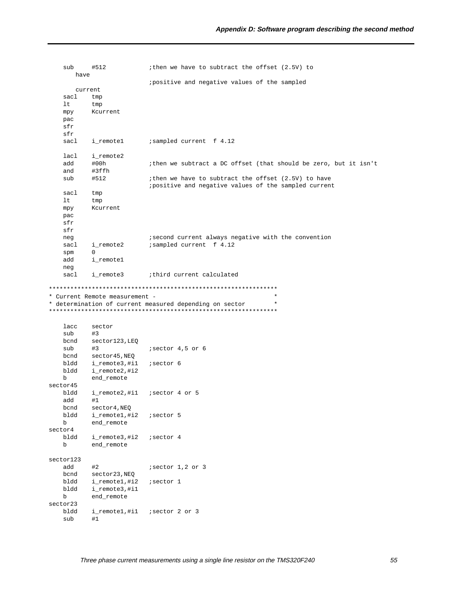| sub             | #512                           | ithen we have to subtract the offset (2.5V) to                                  |
|-----------------|--------------------------------|---------------------------------------------------------------------------------|
| have<br>current |                                | ipositive and negative values of the sampled                                    |
|                 |                                |                                                                                 |
| sacl            | tmp                            |                                                                                 |
| lt              | tmp                            |                                                                                 |
| mpy             | Kcurrent                       |                                                                                 |
| pac             |                                |                                                                                 |
| sfr             |                                |                                                                                 |
| sfr             |                                |                                                                                 |
| sacl            | i_remotel                      | isampled current f 4.12                                                         |
| lacl            | i_remote2                      |                                                                                 |
| add             | #00h                           | ithen we subtract a DC offset (that should be zero, but it isn't                |
| and             | #3ffh                          |                                                                                 |
| sub             | #512                           | ithen we have to subtract the offset (2.5V) to have                             |
|                 |                                | ipositive and negative values of the sampled current                            |
| sacl            | tmp                            |                                                                                 |
| lt              | tmp                            |                                                                                 |
| mpy             | Kcurrent                       |                                                                                 |
| pac             |                                |                                                                                 |
| sfr             |                                |                                                                                 |
| sfr             |                                |                                                                                 |
| neg             |                                | isecond current always negative with the convention                             |
| sacl            | i_remote2                      | ; sampled current f 4.12                                                        |
| spm             | 0                              |                                                                                 |
| add             | i_remotel                      |                                                                                 |
| neg             |                                |                                                                                 |
| sacl            | i_remote3                      | ithird current calculated                                                       |
|                 |                                |                                                                                 |
|                 | * Current Remote measurement - | $^\star$<br>$^\star$<br>* determination of current measured depending on sector |
|                 |                                |                                                                                 |
| lacc            | sector                         |                                                                                 |
| sub             | #3                             |                                                                                 |
| bcnd            | sector123, LEQ                 |                                                                                 |
| sub             | #3                             | isector 4,5 or 6                                                                |
| bcnd            | sector45, NEQ                  |                                                                                 |
| bldd            | i_remote3,#i1                  | isector 6                                                                       |
| bldd<br>b       | i_remote2,#i2                  |                                                                                 |
| sector45        | end_remote                     |                                                                                 |
| bldd            |                                |                                                                                 |
|                 | i_remote2,#i1                  | isector 4 or 5                                                                  |
| add             | #1                             |                                                                                 |
| bcnd<br>bldd    | sector4, NEQ<br>i_remotel,#i2  | isector 5                                                                       |
| b               | end_remote                     |                                                                                 |
| sector4         |                                |                                                                                 |
| bldd            | i_remote3,#i2                  | isector 4                                                                       |
| b               | end_remote                     |                                                                                 |
|                 |                                |                                                                                 |
| sector123       |                                |                                                                                 |
| add             | #2                             | $i$ sector $1,2$ or $3$                                                         |
| bcnd            | sector23, NEQ                  |                                                                                 |
| bldd            | i_remotel,#i2                  | <i>i</i> sector 1                                                               |
| bldd            | i_remote3,#i1                  |                                                                                 |
| b               | end_remote                     |                                                                                 |
| sector23        |                                |                                                                                 |
| bldd<br>sub     | i_remote1,#i1<br>#1            | isector 2 or 3                                                                  |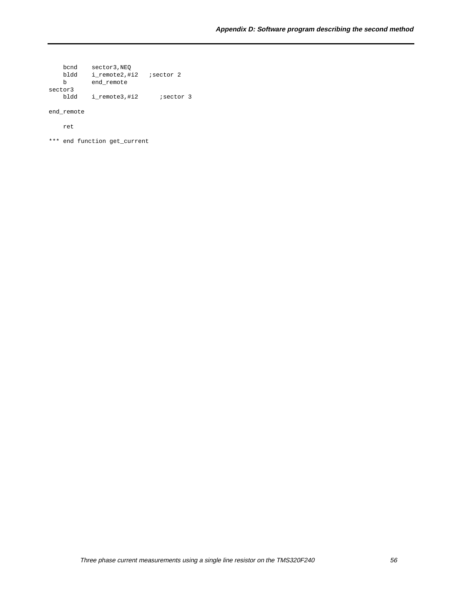bcnd sector3,NEQ bldd i\_remote2,#i2 ;sector 2 b end\_remote sector3 bldd i\_remote3,#i2 ; sector 3

end\_remote

ret

\*\*\* end function get\_current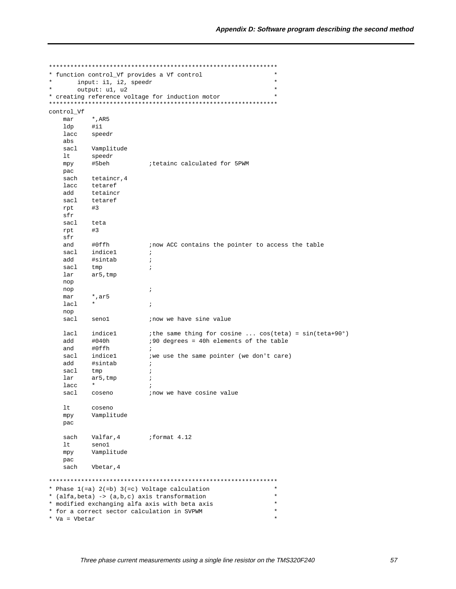| $^\star$      | * function control_Vf provides a Vf control<br>input: il, i2, speedr | $\star$<br>$^\star$                                                   |  |
|---------------|----------------------------------------------------------------------|-----------------------------------------------------------------------|--|
|               | output: u1, u2                                                       | $^\star$                                                              |  |
|               |                                                                      | * creating reference voltage for induction motor<br>$\star$           |  |
| control_Vf    |                                                                      |                                                                       |  |
| mar           | $^{\star}$ , AR5                                                     |                                                                       |  |
| ldp           | #i1                                                                  |                                                                       |  |
| lacc          | speedr                                                               |                                                                       |  |
| abs           |                                                                      |                                                                       |  |
| sacl          | Vamplitude                                                           |                                                                       |  |
| lt            | speedr                                                               |                                                                       |  |
| mpy           | #5beh                                                                | itetainc calculated for 5PWM                                          |  |
| pac           |                                                                      |                                                                       |  |
| sach          | tetaincr, 4                                                          |                                                                       |  |
| lacc          | tetaref                                                              |                                                                       |  |
| add           | tetaincr                                                             |                                                                       |  |
| sacl          | tetaref                                                              |                                                                       |  |
|               |                                                                      |                                                                       |  |
| rpt           | #3                                                                   |                                                                       |  |
| sfr           |                                                                      |                                                                       |  |
| sacl          | teta                                                                 |                                                                       |  |
| rpt           | #3                                                                   |                                                                       |  |
| sfr           |                                                                      |                                                                       |  |
| and           | #0ffh                                                                | inow ACC contains the pointer to access the table                     |  |
| sacl          | indicel                                                              | $\ddot{i}$                                                            |  |
| add           | #sintab                                                              | $\ddot{i}$                                                            |  |
| sacl          | tmp                                                                  | $\ddot{i}$                                                            |  |
| lar           | $ar5$ , tmp                                                          |                                                                       |  |
| nop           |                                                                      |                                                                       |  |
| nop           |                                                                      | $\ddot{i}$                                                            |  |
| mar           | *,ar5                                                                |                                                                       |  |
| lacl          | $\star$                                                              | $\ddot{i}$                                                            |  |
| nop           |                                                                      |                                                                       |  |
| sacl          | senol                                                                | inow we have sine value                                               |  |
|               |                                                                      |                                                                       |  |
| lacl          | indicel                                                              | <i>i</i> the same thing for cosine $cos(teta) = sin(teta+90^{\circ})$ |  |
| add           | #040h                                                                | :90 degrees = 40h elements of the table                               |  |
| and           | #0ffh                                                                | $\ddot{i}$                                                            |  |
| sacl          | indicel                                                              | iwe use the same pointer (we don't care)                              |  |
| bba           | #sintab                                                              | $\ddot{i}$                                                            |  |
| sacl          | tmp                                                                  | $\ddot{i}$                                                            |  |
| lar           | $ar5$ , tmp                                                          | $\ddot{ }$                                                            |  |
| lacc          | $\star$                                                              | $\ddot{i}$                                                            |  |
| sacl          | coseno                                                               | inow we have cosine value                                             |  |
| 1t            | coseno                                                               |                                                                       |  |
| mpy           | Vamplitude                                                           |                                                                       |  |
| pac           |                                                                      |                                                                       |  |
| sach          | Valfar, 4                                                            | format 4.12                                                           |  |
| lt            | senol                                                                |                                                                       |  |
|               |                                                                      |                                                                       |  |
| mpy           | Vamplitude                                                           |                                                                       |  |
| pac           |                                                                      |                                                                       |  |
| sach          | Vbetar, 4                                                            |                                                                       |  |
|               |                                                                      |                                                                       |  |
|               |                                                                      | $\star$<br>* Phase $1 (=a) 2 (=b) 3 (=c) Voltage calculation$         |  |
|               |                                                                      | * (alfa, beta) -> (a, b, c) axis transformation<br>$^\star$           |  |
|               |                                                                      | * modified exchanging alfa axis with beta axis<br>$\star$             |  |
|               | * for a correct sector calculation in SVPWM                          | $\star$                                                               |  |
| * Va = Vbetar |                                                                      | $\star$                                                               |  |
|               |                                                                      |                                                                       |  |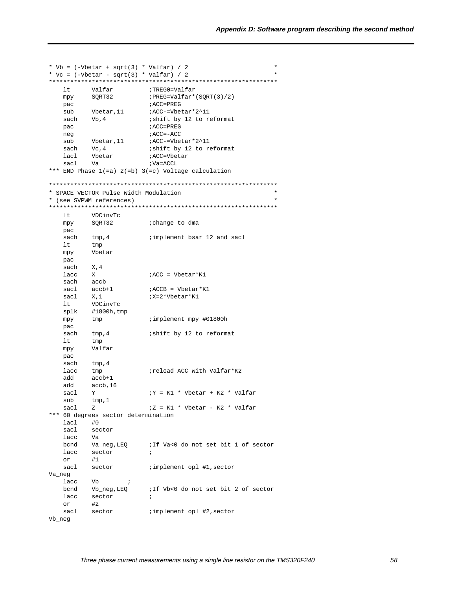```
* Vb = (-\text{Vbetar} + \text{sqrt}(3) * \text{Valfar}) / 2* Vc = (-\text{Vbetar} - \text{sqrt}(3) * \text{Valfar}) / 2\star;TREG0=Valfar<br>;PREG=Valfar*(SQRT(3)/2)
   ltValfar
        SORT32
   mpy
                     ; ACC=PREG
   pac
        sub
   sach Vb, 4
                     ACC=PREG
   pac
                     i ACC=-ACC
   neg
        Vbetar, 11 iACC-=Vbetar*2^11<br>Vc, 4 ishift by 12 to re
   sub
   sach
                      ishift by 12 to reformat
   lacl Vbetar <br>sacl Va <br>va=ACCL
*** END Phase 1(=a) 2(=b) 3(=c) Voltage calculation
* SPACE VECTOR Pulse Width Modulation
* (see SVPWM references)
ltVDCinvTc
        SQRT32
                     ; change to dma
   mpy
   pac
   sach tmp, 4
                     implement bsar 12 and sacl
   lt i
        tmp
   mpy
        Vbetar
   pac
   sach
        X, 4lacc
                     :ACC = Vbetar*K1
         Xaccb
   sach
   sacl
         accb+1;ACCB = Vbetar*K1
   sacl X,1
                     ;X=2*Vbetar*K1
        VDCinvTc
   1<sub>t</sub>splk #1800h, tmp
                     ; implement mpy #01800h
   mpytmp
   pac
   sach
         tmp, 4ishift by 12 to reformat
   lttmp
         Valfar
   mpy
   pac
   sach tmp, 4
                     ; reload ACC with Valfar*K2
   lacc tmp
   add
        accb+1hba
        accb, 16
   sacl Y
                     iY = K1 * Vbetar + K2 * Valfarsub
         tmp, 1sacl
         Z7Z = K1 * Vbetar - K2 * Valfar*** 60 degrees sector determination
   lacl
        #0sacl
        sector
  lacc Va
   bcnd Va_neg, LEQ : If Va<0 do not set bit 1 of sector
   lacc sector
                      \ddot{i}or
         #1sector
                     ; implement opl #1, sector
   sacl
Va_neg
   lacc
        Vb ;
                     iIf Vb<0 do not set bit 2 of sector
   bcnd Vb_neg, LEQ
   lacc sector
                     \cdot ;
   or#2iimplement opl #2, sector
   sacl sector
Vb_neg
```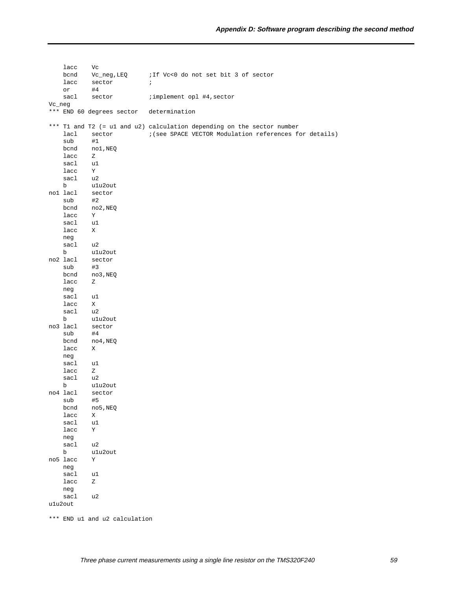lacc Vc bcnd Vc\_neg, LEQ ; If Vc<0 do not set bit 3 of sector lacc sector ; or #4 sacl sector : implement opl #4, sector Vc\_neg \*\*\* END 60 degrees sector determination \*\*\* T1 and T2 (= u1 and u2) calculation depending on the sector number lacl sector : (see SPACE VECTOR Modulation references for details) sub #1 bcnd no1,NEQ lacc Z sacl u1 lacc Y sacl u2 b u1u2out<br>lacl sector no1 lacl sub #2 bcnd no2,NEQ lacc Y sacl u1 lacc X neg sacl u2 b u1u2out no2 lacl sector sub #3 bcnd no3,NEQ lacc Z neg sacl u1 lacc X sacl u2<br>b u1u b u1u2out no3 lacl sector sub #4 bcnd no4,NEQ lacc X neg sacl u1 lacc Z sacl u2 b u1u2out<br>no4 lacl sector sector sub #5 bcnd no5,NEQ lacc X sacl u1 lacc Y neg sacl u2 b u1u2out no5 lacc Y neg sacl u1 lacc Z neg sacl u2 u1u2out

\*\*\* END u1 and u2 calculation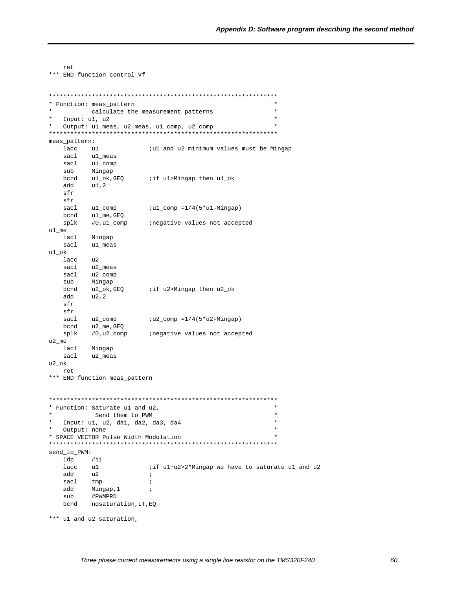```
ret.
*** END function control_Vf
* Function: meas_pattern
                                                  \star\starcalculate the measurement patterns
\star\starInput: u1, u2
\star\ddot{\phantom{0}}Output: ul_meas, u2_meas, ul_comp, u2_comp
meas_pattern:
   lacc
       u1iul and u2 minimum values must be Mingap
   sacl
         ul_meas
   sacl ul_comp
   sub
        Mingap
   bcnd ul_ok, GEQ :if ul>Mingap then ul_ok
   add
        u1,2
   sfr
   sfr
   sacl
        u1_comp
                     iul_comp =1/4(5*u1-Mingap)bcnd
        ul_me,GEQ
  splk
                     inegative values not accepted
        #0,u1_comp
u1 me
  lacl Mingap
   sacl ul_meas
ul\_oku2lacc
   sacl
        u2_meas
   sacl
         u2_comp
   sub
         Mingap
   bcnd u2_ok,GEQ
                     iif u2>Mingap then u2_ok
   add
        u2,2
   sfr
   sfr
       u2_comp
                     iu2_{comp} = 1/4(5*u2 - Mingap)sacl
  bcnd u2_me,GEQ
   splk #0,u2_comp
                     inegative values not accepted
u2_me
  lacl Mingap
   sacl
         u2_meas
u2_ok
  ret
*** END function meas_pattern
* Function: Saturate ul and u2,
                                                  \star\starSend them to PWM
                                                  \ddot{\phantom{0}}\starInput: u1, u2, da1, da2, da3, da4
* Output: none
                                                  \mathbf{r}* SPACE VECTOR Pulse Width Modulation
send_to_PWM:
   ldp
       \#il
        u1lacc
                      iif ul+u2>2*Mingap we have to saturate ul and u2
   add
         u2
                      \cdot:
   sacl tmp
                      \cdot:
        Mingap, 1
   add
                      \cdot#PWMPRD
   sub
   bcnd nosaturation, LT, EQ
*** ul and u2 saturation,
```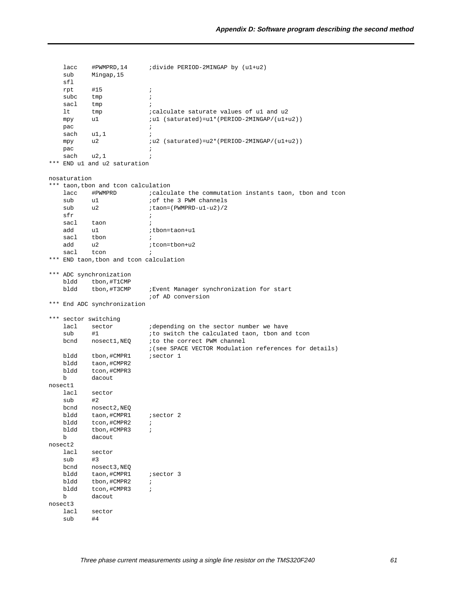lacc #PWMPRD,14 ;divide PERIOD-2MINGAP by (u1+u2) sub Mingap,15 sfl rpt #15 ; subc tmp ; sacl tmp ; lt tmp ;calculate saturate values of u1 and u2 mpy u1 ;u1 (saturated)=u1\*(PERIOD-2MINGAP/(u1+u2)) pac is a contract to the contract of the contract of the contract of the contract of the contract of the contract of the contract of the contract of the contract of the contract of the contract of the contract of the contr  $\begin{array}{ccc} \texttt{sach} & \texttt{u1,1} & \texttt{;} \end{array}$ mpy u2  $iu2$  (saturated)=u2\*(PERIOD-2MINGAP/(u1+u2)) pac is a contract of the contract of the contract of the contract of the contract of the contract of the contract of the contract of the contract of the contract of the contract of the contract of the contract of the contr sach u2,1 ; \*\*\* END u1 and u2 saturation nosaturation \*\*\* taon,tbon and tcon calculation  $\begin{tabular}{llll} lacc & \texttt{\#PWMPRD} & \texttt{\textit{ic}aculate the commutation instants } \texttt{taon, } \texttt{thon} \texttt{and } \texttt{tcon} \\ \texttt{sub} & \texttt{if the 3 PWM channels} \end{tabular}$ sub u1 ;of the 3 PWM channels<br>sub u2 ;taon=(PWMPRD-u1-u2)/2 sub u2 ;taon=(PWMPRD-u1-u2)/2  $sfr$ sacl taon ; add u1  $ibon = tan + u1$ sacl tbon ; add u2 *i*tcon=tbon+u2 sacl tcon ; \*\*\* END taon,tbon and tcon calculation \*\*\* ADC synchronization bldd tbon,#T1CMP bldd tbon,#T3CMP ;Event Manager synchronization for start ;of AD conversion \*\*\* End ADC synchronization \*\*\* sector switching lacl sector **idepending** on the sector number we have<br>  $\begin{array}{ccc}\n\text{sub} & \text{#1} \\
\text{min} & \text{#1}\n\end{array}$ sub #1  $\qquad$  ; to switch the calculated taon, tbon and tcon bcnd nosect1,NEQ ;to the correct PWM channel ;(see SPACE VECTOR Modulation references for details) bldd tbon, #CMPR1 ; sector 1 bldd taon,#CMPR2 bldd tcon,#CMPR3 b dacout nosect1 lacl sector sub #2 bcnd nosect2,NEQ bldd taon, #CMPR1 ; sector 2 bldd tcon,#CMPR2 ; bldd tbon,#CMPR3 ; b dacout nosect2 lacl sector<br>sub #3  $sub$ bcnd nosect3, NEQ<br>bldd taon, #CMPR1 taon, #CMPR1 ; sector 3 bldd tbon,#CMPR2 ; bldd tcon,#CMPR3 ; b dacout nosect3 lacl sector sub #4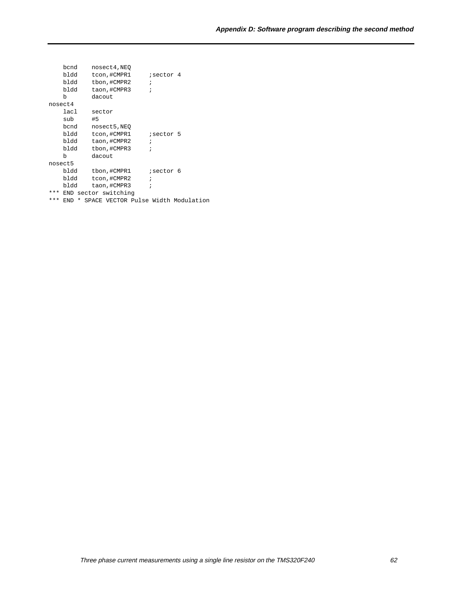|     | bcnd     | nosect4, NEO                        |                   |  |
|-----|----------|-------------------------------------|-------------------|--|
|     | bldd     | tcon,#CMPR1                         | ;sector 4         |  |
|     | bldd     | tbon,#CMPR2                         | $\ddot{i}$        |  |
|     | bldd     | taon,#CMPR3                         | $\ddot{i}$        |  |
|     | b        | dacout                              |                   |  |
|     | nosect4  |                                     |                   |  |
|     | lacl     | sector                              |                   |  |
|     | sub      | #5                                  |                   |  |
|     | bcnd     | nosect5, NEO                        |                   |  |
|     | bldd     | tcon,#CMPR1                         | <i>i</i> sector 5 |  |
|     | bldd     | taon,#CMPR2                         | $\ddot{i}$        |  |
|     | bldd     | tbon,#CMPR3                         | ÷                 |  |
|     | b        | dacout                              |                   |  |
|     | nosect5  |                                     |                   |  |
|     | bldd     | tbon,#CMPR1                         | isector 6         |  |
|     | bldd     | tcon,#CMPR2                         | $\ddot{i}$        |  |
|     | bldd     | taon,#CMPR3                         | ï                 |  |
| *** |          | END sector switching                |                   |  |
| *** | *<br>END | SPACE VECTOR Pulse Width Modulation |                   |  |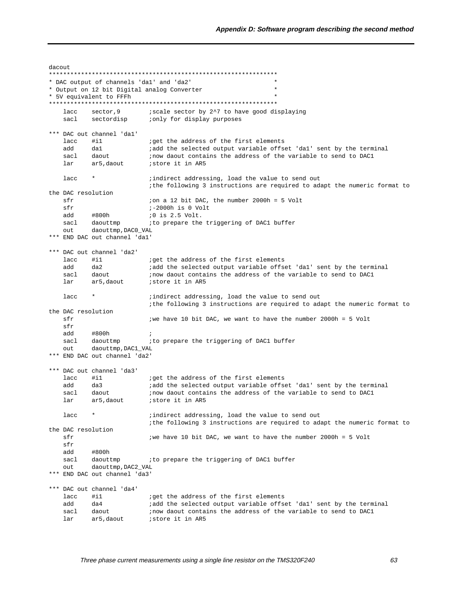dacout. \* DAC output of channels 'dal' and 'da2' \* Output on 12 bit Digital analog Converter \* 5V equivalent to FFFh iscale sector by 2^7 to have good displaying<br>ionly for display purposes lacc sector, 9 sacl sectordisp \*\*\* DAC out channel 'dal' iget the address of the first elements<br>iadd the selected output variable offset 'dal' sent by the terminal  $lacc$  #i1 add da1 daout sacl inow daout contains the address of the variable to send to DAC1 ar5,daout istore it in AR5  $lar$ lacc iindirect addressing, load the value to send out ithe following 3 instructions are required to adapt the numeric format to the DAC resolution sfr ion a 12 bit DAC, the number 2000h = 5 Volt  $sfr$  $i - 2000h$  is 0 Volt add #800h *i*0 is 2.5 Volt. daouttmp ito prepare the triggering of DAC1 buffer sacl daouttmp, DAC0\_VAL out \*\*\* END DAC out channel 'dal' \*\*\* DAC out channel 'da2'  $lacc$  #i1 iget the address of the first elements add  $da2$ iadd the selected output variable offset 'dal' sent by the terminal uaz<br>daout<br>ar5,daout ; now daout contains the address of the variable to send to DAC1 sacl istore it in AR5 lar  $lacc$  \* ; indirect addressing, load the value to send out ithe following 3 instructions are required to adapt the numeric format to the DAC resolution  $sfr$ iwe have 10 bit DAC, we want to have the number 2000h = 5 Volt sfr hha #800h  $\cdot$ : sacl daouttmp ito prepare the triggering of DAC1 buffer out daouttmp, DAC1\_VAL \*\*\* END DAC out channel 'da2' \*\*\* DAC out channel 'da3'  $\frac{1}{2}$  acc  $\frac{1}{2}$  iget the address of the first elements iadd the selected output variable offset 'dal' sent by the terminal add  $da3$ daout inow daout contains the address of the variable to send to DAC1 sacl ar5, daout istore it in AR5 lar lacc ; indirect addressing, load the value to send out ithe following 3 instructions are required to adapt the numeric format to the DAC resolution sfr we have 10 bit DAC, we want to have the number 2000h = 5 Volt  $CFr$ add #800h sacl daouttmp ito prepare the triggering of DAC1 buffer daouttmp, DAC2\_VAL out \*\*\* END DAC out channel 'da3' \*\*\* DAC out channel 'da4'  $lacc$  #i1 iget the address of the first elements add  $da4$ iadd the selected output variable offset 'dal' sent by the terminal inow daout contains the address of the variable to send to DAC1 sacl daout ar5, daout istore it in AR5 lar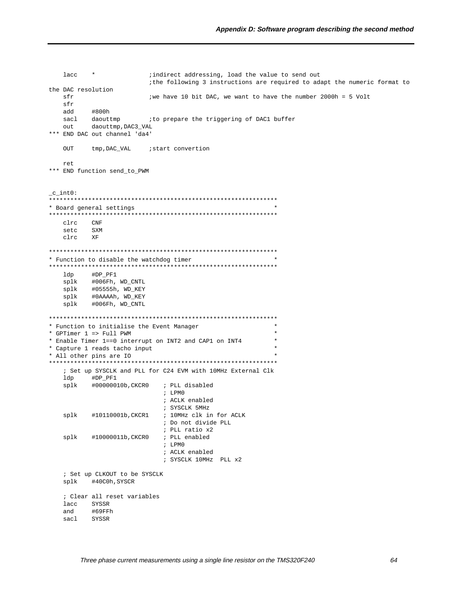```
lacc *; indirect addressing, load the value to send out
                    ithe following 3 instructions are required to adapt the numeric format to
the DAC resolution
  sfrwe have 10 bit DAC, we want to have the number 2000h = 5 Volt
  sfradd
        #800h
  sacl daouttmp
                   ito prepare the triggering of DAC1 buffer
        daouttmp, DAC3_VAL
  \bigcap_{i=1}^{n}*** END DAC out channel 'da4'
  OUT
        tmp, DAC_VAL
                   istart convertion
  ret
*** END function send_to_PWM
_c_int0:
* Board general settings
CNFclrc
        SXM
  setc
  c1rcXF* Function to disable the watchdog timer
ldp
        #DP_PF1
       #006Fh, WD_CNTL
  splk
       #05555h, WD_KEY
  splk
  splk#0AAAAh, WD_KEY
       #006Fh, WD_CNTL
  splk
* Function to initialise the Event Manager
                                              \star* GPTimer 1 => Full PWM
* Enable Timer 1==0 interrupt on INT2 and CAP1 on INT4
* Capture 1 reads tacho input
* All other pins are IO
; Set up SYSCLK and PLL for C24 EVM with 10MHz External Clk
  ldp
        #DP PF1
       #00000010b, CKCR0
  splk
                      ; PLL disabled
                       ; LPMO
                       ; ACLK enabled
                       ; SYSCLK 5MHz
  splk
        #10110001b, CKCR1
                       ; 10MHz clk in for ACLK
                       ; Do not divide PLL
                       ; PLL ratio x2
  splk
       #10000011b, CKCR0
                       ; PLL enabled
                       ; LPMO
                       ; ACLK enabled
                       ; SYSCLK 10MHz PLL x2
   ; Set up CLKOUT to be SYSCLK
  splk
        #40C0h, SYSCR
  ; Clear all reset variables
  lacc SYSSR
        #69FFh
  andsacl SYSSR
```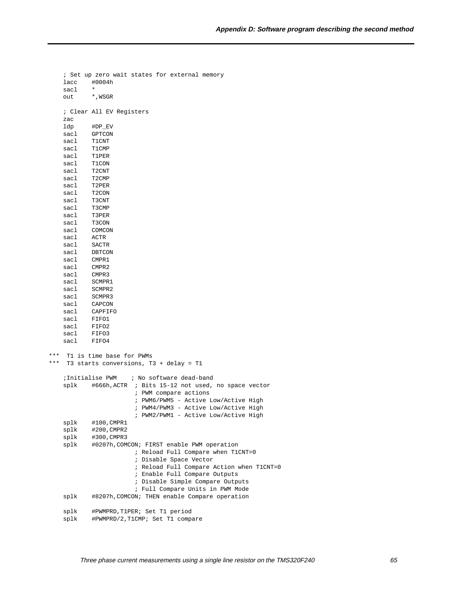```
 ; Set up zero wait states for external memory
   lacc #0004h
    sacl *
    out *,WSGR
    ; Clear All EV Registers
    zac
    ldp #DP_EV
    sacl GPTCON
    sacl T1CNT
    sacl T1CMP
    sacl T1PER
    sacl T1CON
    sacl T2CNT
    sacl T2CMP
    sacl T2PER
    sacl T2CON
    sacl T3CNT
   sacl T3CMP
    sacl T3PER
    sacl T3CON
    sacl COMCON
    sacl ACTR
    sacl SACTR
    sacl DBTCON
    sacl CMPR1
    sacl CMPR2
    sacl CMPR3
    sacl SCMPR1
   sacl SCMPR2
    sacl SCMPR3
    sacl CAPCON
    sacl CAPFIFO
    sacl FIFO1
    sacl FIFO2
    sacl FIFO3
    sacl FIFO4
*** T1 is time base for PWMs
*** T3 starts conversions, T3 + delay = T1
    ;Initialise PWM ; No software dead-band
    splk #666h,ACTR ; Bits 15-12 not used, no space vector
                       ; PWM compare actions
                       ; PWM6/PWM5 - Active Low/Active High
                       ; PWM4/PWM3 - Active Low/Active High
                       ; PWM2/PWM1 - Active Low/Active High
    splk #100,CMPR1
    splk #200,CMPR2
    splk #300,CMPR3
    splk #0207h,COMCON; FIRST enable PWM operation
                       ; Reload Full Compare when T1CNT=0
                       ; Disable Space Vector
                       ; Reload Full Compare Action when T1CNT=0
                       ; Enable Full Compare Outputs
                       ; Disable Simple Compare Outputs
                       ; Full Compare Units in PWM Mode
    splk #8207h,COMCON; THEN enable Compare operation
    splk #PWMPRD,T1PER; Set T1 period
    splk #PWMPRD/2,T1CMP; Set T1 compare
```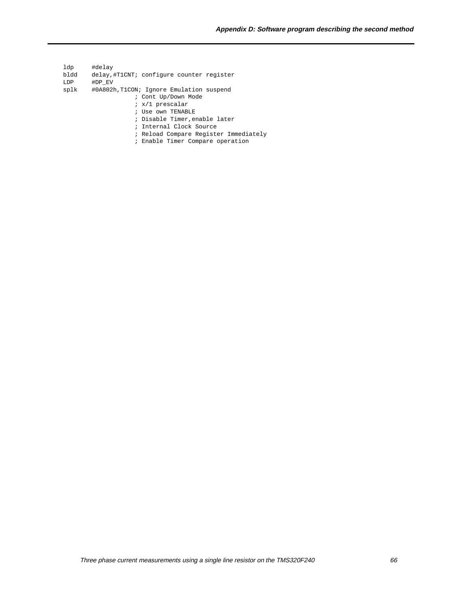ldp #delay bldd delay,#T1CNT; configure counter register LDP #DP\_EV

- splk #0A802h,T1CON; Ignore Emulation suspend
	- ; Cont Up/Down Mode
	- ; x/1 prescalar
	- ; Use own TENABLE
	- ; Disable Timer,enable later
	- ; Internal Clock Source
	- ; Reload Compare Register Immediately
	- ; Enable Timer Compare operation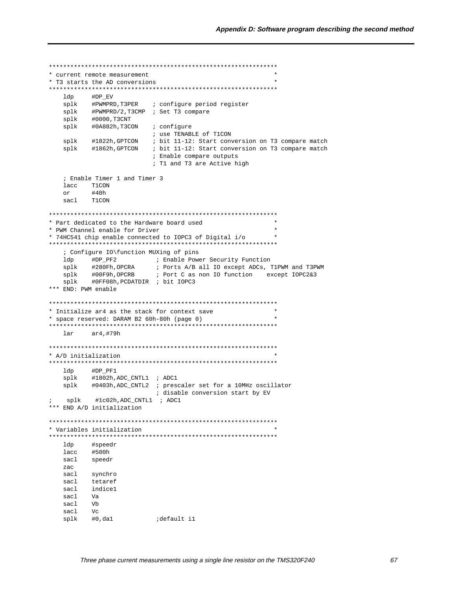```
* current remote measurement
* T3 starts the AD conversions
#DP\_EV1dnsplk #PWMPRD, T3PER : configure period register
  splk #PWMPRD/2, T3CMP ; Set T3 compare
  splk #0000, T3CNT
                  oontigure<br>; use TENABLE of T1CON<br>; bit 11-12: Start<br>; bit 11
  splk #0A882h, T3CON ; configure
      #1822h,GPTCON<br>#1860
  splk
                   ; bit 11-12: Start conversion on T3 compare match
  splk
       #1862h,GPTCON
                   ; bit 11-12: Start conversion on T3 compare match
                   ; Enable compare outputs
                   ; T1 and T3 are Active high
  ; Enable Timer 1 and Timer 3
  lacc T1CON
       #40h\alpha rsacl
       T1CON
* Part dedicated to the Hardware board used
* PWM Channel enable for Driver
* 74HC541 chip enable connected to IOPC3 of Digital i/o
; Configure IO\function MUXing of pins
  #280Fh, OPCRA : Ports A/B all IO except ADCs, T1PWM and T3PWM<br>#00F9h, OPCRB : Port C as non IO function except IOPC2&3<br>#0FF08h, PCDATDIR : bit IOPC3
  splk
  splk
  splk
*** END: PWM enable
* Initialize ar4 as the stack for context save
* space reserved: DARAM B2 60h-80h (page 0)
                                           \ddot{\phantom{1}}larar4,#79h
* A/D initialization
ldp
       #DP_PF1
  splk
      #1802h, ADC_CNTL1 ; ADC1
  splk #0403h, ADC_CNTL2 ; prescaler set for a 10MHz oscillator
                    ; disable conversion start by EV
  splk #1c02h, ADC_CNTL1 ; ADC1
*** END A/D initialization
* Variables initialization
#speedr
  ldp
      #500h
  lacc
  sacl
       speedr
  zac
  sacl
       synchro
  sacl
       tetaref
  sacl indice1
  sacl
       Va
  sacl
       Vb
  sacl
       V_{\rm C}splk #0,da1
               idefault il
```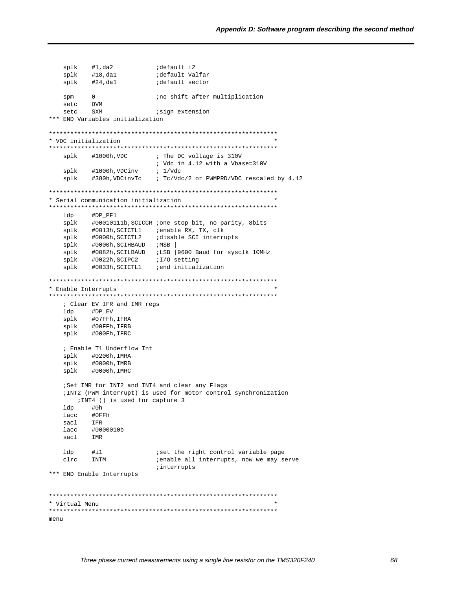```
splk
                  default Valfar
  splk
  splk
       #24,dal
                  default sector
  spm
       \capino shift after multiplication
  setc
      OVM
  setc SXM
                  isign extension
*** END Variables initialization
* VDC initialization
#1000h, VDC
                  ; The DC voltage is 310V
  splk
                  ; Vdc in 4.12 with a Vbase=310V
      #1000h, VDCinv ; 1/Vdc
  splk
  splk
      #380h, VDCinvTc : Tc/Vdc/2 or PWMPRD/VDC rescaled by 4.12
* Serial communication initialization
ldp
       #DP_PF1
      #00010111b, SCICCR ;one stop bit, no parity, 8bits
  splk
      splk
  splk #0000h, SCICTL2 ; disable SCI interrupts
  splk #0000h, SCIHBAUD iMSBsplk #0082h, SCILBAUD : LSB | 9600 Baud for sysclk 10MHz
      #0022h, SCIPC2 iI/O setting
  splk
       splk
* Enable Interrupts
; Clear EV IFR and IMR regs
  1dp \qquad \qquad \text{\#DP\_EV}#07FFh, IFRA
  splk
  {\tt splk}~~{\tt\#00FFh,IFRB}splk
      #000Fh, IFRC
  ; Enable T1 Underflow Int
  splk #0200h, IMRA
  splk
      #0000h, IMRB
  splk #0000h, IMRC
  ; Set IMR for INT2 and INT4 and clear any Flags
  ; INT2 (PWM interrupt) is used for motor control synchronization
    ; INT4 () is used for capture 3
  ldp
       #0hlacc #0FFh
  sacl
      IFR
  lacc #0000010b
  sacl IMR
                  iset the right control variable page
  ldp
      \#i1clrc
      INTM
                  ienable all interrupts, now we may serve
                  interrupts
*** END Enable Interrupts
* Virtual Menu
menu
```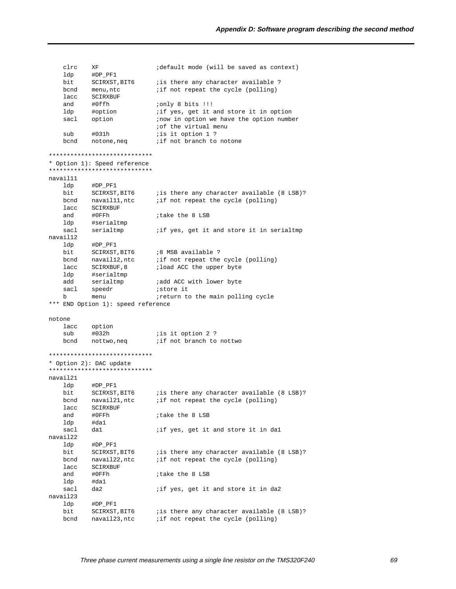$circ$  XF idefault mode (will be saved as context)  $1dp \qquad \text{\tt \#DP\_PF1}$ SCIRXST, BIT6  $\qquad$  is there any character available ?<br>menu ntc  $\qquad$  if not repeat the cycle (polling) bit bcnd menu.ntc if not repeat the cycle (polling)  $lacc$   $SCIRYRIIF$ #0ffh ionly 8 bits !!! and if yes, get it and store it in option ldp #option sacl option inow in option we have the option number of the virtual menu is it option 1 ? sub  $#031h$ bcnd notone, neq if not branch to notone \*\*\*\*\*\*\*\*\*\*\*\*\*\*\*\*\*\*\*\*\*\*\*\*\*\*\*\*\* \* Option 1): Speed reference \*\*\*\*\*\*\*\*\*\*\*\*\*\*\*\*\*\*\*\*\*\*\*\*\*\*\*\*\* navail11 ldp #DP\_PF1 bit. bcnd lacc SCIRXBUF and #0FFh itake the 8 LSB #serialtmp ldp sacl serialtmp iif yes, get it and store it in serialtmp navail12 ldp #DP\_PF1 bit SCIRXST, BIT6 :8 MSB available ?<br>bond navaill2, ntc :if not repeat the cycle (polling)<br>lace SCIPYBIUE 8 :load ACC the upper byte lacc SCIRXBUF, 8 ; load ACC the upper byte ldp #serialtmp serialtmp ;add ACC with lower byte add auu<br>sacl speedr istore it b b menu ireturn to the main polling cycle \*\*\* END Option 1): speed reference notone option lacc sub #032h iis it option 2 ? if not branch to nottwo nottwo,neq bcnd \*\*\*\*\*\*\*\*\*\*\*\*\*\*\*\*\*\*\*\*\*\*\*\*\*\*\*\*\* \* Option 2): DAC update \*\*\*\*\*\*\*\*\*\*\*\*\*\*\*\*\*\*\*\*\*\*\*\*\*\*\*\*\* navail21  $1dp \qquad \text{\#DP\_PF1}$ bit SCIRXST, BIT6 : is there any character available (8 LSB)?<br>bond navail21, ntc : if not repeat the cycle (polling) lacc SCIRXBUF and #0FFh ;take the 8 LSB ldp #da1 sacl iif yes, get it and store it in dal  $da1$ navail22 #DP\_PF1 ldp SCIRXST, BIT6 <br>navail22, ntc if not repeat the cycle (polling) bit bcnd lacc SCIRXBUF and #OFFh itake the 8 LSB  $1dn$ #da1 sacl da2 if yes, get it and store it in da2 navail23 ldp #DP\_PF1 bit SCIRXST, BIT6 : is there any character available (8 LSB)?<br>bcnd navail23, ntc : if not repeat the cycle (polling)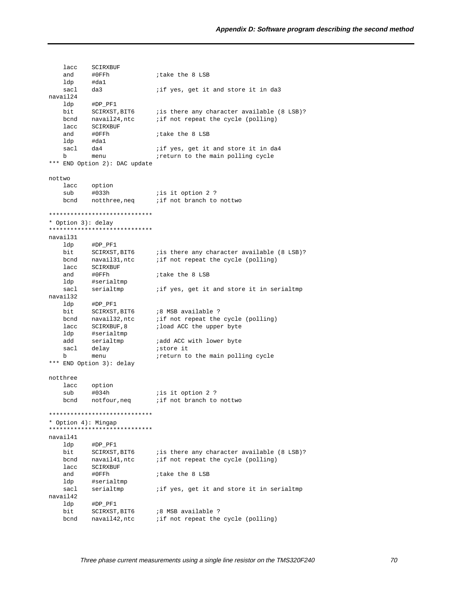lacc SCIRXBUF and #0FFh ;take the 8 LSB ldp #da1<br>sacl da3 da3 **i** if yes, get it and store it in da3 navail24 ldp #DP\_PF1 bit SCIRXST, BIT6 ; is there any character available (8 LSB)? bcnd navail24, ntc *i* if not repeat the cycle (polling) lacc SCIRXBUF<br>and #0FFh and #0FFh ;take the 8 LSB ldp #da1<br>sacl da4 iif yes, get it and store it in da4 b menu *ireturn* to the main polling cycle \*\*\* END Option 2): DAC update nottwo lacc option<br>sub #033h sub #033h *is* it option 2 ? bcnd notthree, neq *i* if not branch to nottwo \*\*\*\*\*\*\*\*\*\*\*\*\*\*\*\*\*\*\*\*\*\*\*\*\*\*\*\*\* \* Option 3): delay \*\*\*\*\*\*\*\*\*\*\*\*\*\*\*\*\*\*\*\*\*\*\*\*\*\*\*\*\* navail31 ldp #DP\_PF1 bit SCIRXST, BIT6 ; is there any character available (8 LSB)? bcnd navail31,ntc ;if not repeat the cycle (polling) lacc SCIRXBUF and #0FFh ;take the 8 LSB ldp #serialtmp<br>sacl serialtmp iif yes, get it and store it in serialtmp navail32 ldp #DP\_PF1 bit SCIRXST, BIT6 :8 MSB available ? bcnd navail32,ntc ;if not repeat the cycle (polling) lacc SCIRXBUF, 8 ; load ACC the upper byte lace <br>ldp #serialtmp<br>add serialtmp iadd ACC with lower byte<br>istore it sacl delay b menu *ireturn* to the main polling cycle \*\*\* END Option 3): delay notthree lacc option sub #034h ;is it option 2 ? bcnd notfour, neq *i* if not branch to nottwo \*\*\*\*\*\*\*\*\*\*\*\*\*\*\*\*\*\*\*\*\*\*\*\*\*\*\*\*\* \* Option 4): Mingap \*\*\*\*\*\*\*\*\*\*\*\*\*\*\*\*\*\*\*\*\*\*\*\*\*\*\*\*\* navail41 ldp #DP\_PF1 bit SCIRXST, BIT6 ; is there any character available (8 LSB)? bcnd navail41,ntc ;if not repeat the cycle (polling) lacc SCIRXBUF and #0FFh ;take the 8 LSB ldp #serialtmp sacl serialtmp *i* if yes, get it and store it in serialtmp navail42 ldp #DP\_PF1 bit SCIRXST, BIT6 :8 MSB available ? bcnd navail42, ntc *i* if not repeat the cycle (polling)